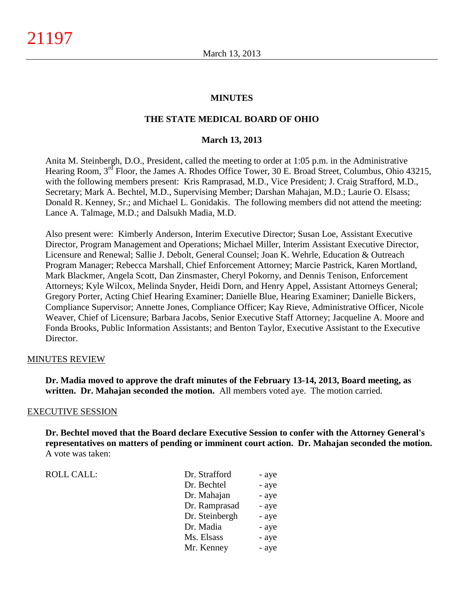## **MINUTES**

### **THE STATE MEDICAL BOARD OF OHIO**

#### **March 13, 2013**

Anita M. Steinbergh, D.O., President, called the meeting to order at 1:05 p.m. in the Administrative Hearing Room, 3<sup>rd</sup> Floor, the James A. Rhodes Office Tower, 30 E. Broad Street, Columbus, Ohio 43215, with the following members present: Kris Ramprasad, M.D., Vice President; J. Craig Strafford, M.D., Secretary; Mark A. Bechtel, M.D., Supervising Member; Darshan Mahajan, M.D.; Laurie O. Elsass; Donald R. Kenney, Sr.; and Michael L. Gonidakis. The following members did not attend the meeting: Lance A. Talmage, M.D.; and Dalsukh Madia, M.D.

Also present were: Kimberly Anderson, Interim Executive Director; Susan Loe, Assistant Executive Director, Program Management and Operations; Michael Miller, Interim Assistant Executive Director, Licensure and Renewal; Sallie J. Debolt, General Counsel; Joan K. Wehrle, Education & Outreach Program Manager; Rebecca Marshall, Chief Enforcement Attorney; Marcie Pastrick, Karen Mortland, Mark Blackmer, Angela Scott, Dan Zinsmaster, Cheryl Pokorny, and Dennis Tenison, Enforcement Attorneys; Kyle Wilcox, Melinda Snyder, Heidi Dorn, and Henry Appel, Assistant Attorneys General; Gregory Porter, Acting Chief Hearing Examiner; Danielle Blue, Hearing Examiner; Danielle Bickers, Compliance Supervisor; Annette Jones, Compliance Officer; Kay Rieve, Administrative Officer, Nicole Weaver, Chief of Licensure; Barbara Jacobs, Senior Executive Staff Attorney; Jacqueline A. Moore and Fonda Brooks, Public Information Assistants; and Benton Taylor, Executive Assistant to the Executive Director.

#### MINUTES REVIEW

**Dr. Madia moved to approve the draft minutes of the February 13-14, 2013, Board meeting, as written. Dr. Mahajan seconded the motion.** All members voted aye. The motion carried.

#### EXECUTIVE SESSION

**Dr. Bechtel moved that the Board declare Executive Session to confer with the Attorney General's representatives on matters of pending or imminent court action. Dr. Mahajan seconded the motion.** A vote was taken:

ROLL CALL:  $\qquad \qquad \Box$ 

| Dr. Strafford  | - aye |
|----------------|-------|
| Dr. Bechtel    | - aye |
| Dr. Mahajan    | - aye |
| Dr. Ramprasad  | - aye |
| Dr. Steinbergh | - aye |
| Dr. Madia      | - aye |
| Ms. Elsass     | - aye |
| Mr. Kenney     | - aye |
|                |       |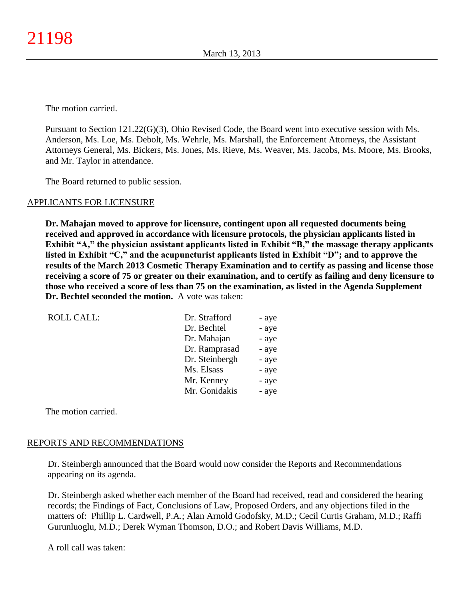The motion carried.

Pursuant to Section 121.22(G)(3), Ohio Revised Code, the Board went into executive session with Ms. Anderson, Ms. Loe, Ms. Debolt, Ms. Wehrle, Ms. Marshall, the Enforcement Attorneys, the Assistant Attorneys General, Ms. Bickers, Ms. Jones, Ms. Rieve, Ms. Weaver, Ms. Jacobs, Ms. Moore, Ms. Brooks, and Mr. Taylor in attendance.

The Board returned to public session.

## APPLICANTS FOR LICENSURE

**Dr. Mahajan moved to approve for licensure, contingent upon all requested documents being received and approved in accordance with licensure protocols, the physician applicants listed in Exhibit "A," the physician assistant applicants listed in Exhibit "B," the massage therapy applicants listed in Exhibit "C," and the acupuncturist applicants listed in Exhibit "D"; and to approve the results of the March 2013 Cosmetic Therapy Examination and to certify as passing and license those receiving a score of 75 or greater on their examination, and to certify as failing and deny licensure to those who received a score of less than 75 on the examination, as listed in the Agenda Supplement Dr. Bechtel seconded the motion.** A vote was taken:

| <b>ROLL CALL:</b> | Dr. Strafford  | - aye |
|-------------------|----------------|-------|
|                   | Dr. Bechtel    | - aye |
|                   | Dr. Mahajan    | - aye |
|                   | Dr. Ramprasad  | - aye |
|                   | Dr. Steinbergh | - aye |
|                   | Ms. Elsass     | - aye |
|                   | Mr. Kenney     | - aye |
|                   | Mr. Gonidakis  | - aye |
|                   |                |       |

The motion carried.

## REPORTS AND RECOMMENDATIONS

Dr. Steinbergh announced that the Board would now consider the Reports and Recommendations appearing on its agenda.

Dr. Steinbergh asked whether each member of the Board had received, read and considered the hearing records; the Findings of Fact, Conclusions of Law, Proposed Orders, and any objections filed in the matters of: Phillip L. Cardwell, P.A.; Alan Arnold Godofsky, M.D.; Cecil Curtis Graham, M.D.; Raffi Gurunluoglu, M.D.; Derek Wyman Thomson, D.O.; and Robert Davis Williams, M.D.

A roll call was taken: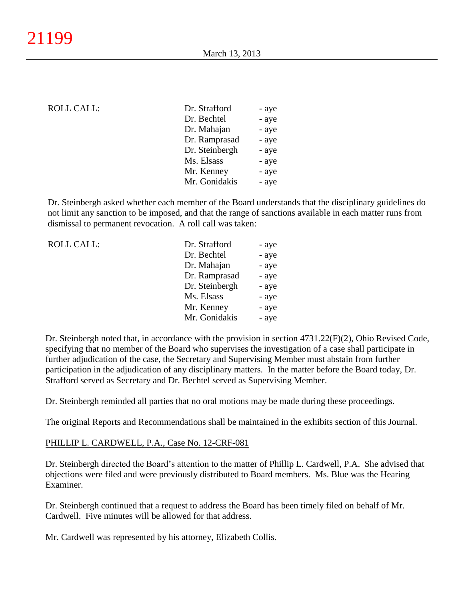#### ROLL CALL:

| Dr. Strafford  | - aye |
|----------------|-------|
| Dr. Bechtel    | - aye |
| Dr. Mahajan    | - aye |
| Dr. Ramprasad  | - aye |
| Dr. Steinbergh | - aye |
| Ms. Elsass     | - aye |
| Mr. Kenney     | - aye |
| Mr. Gonidakis  | - aye |
|                |       |

Dr. Steinbergh asked whether each member of the Board understands that the disciplinary guidelines do not limit any sanction to be imposed, and that the range of sanctions available in each matter runs from dismissal to permanent revocation. A roll call was taken:

| Dr. Bechtel<br>Dr. Mahajan<br>Dr. Ramprasad<br>Dr. Steinbergh<br>Ms. Elsass<br>Mr. Kenney<br>Mr. Gonidakis | <b>ROLL CALL:</b> | Dr. Strafford | - aye |
|------------------------------------------------------------------------------------------------------------|-------------------|---------------|-------|
|                                                                                                            |                   |               | - aye |
|                                                                                                            |                   |               | - aye |
|                                                                                                            |                   |               | - aye |
|                                                                                                            |                   |               | - aye |
|                                                                                                            |                   |               | - aye |
|                                                                                                            |                   |               | - aye |
|                                                                                                            |                   |               | - aye |

Dr. Steinbergh noted that, in accordance with the provision in section 4731.22(F)(2), Ohio Revised Code, specifying that no member of the Board who supervises the investigation of a case shall participate in further adjudication of the case, the Secretary and Supervising Member must abstain from further participation in the adjudication of any disciplinary matters. In the matter before the Board today, Dr. Strafford served as Secretary and Dr. Bechtel served as Supervising Member.

Dr. Steinbergh reminded all parties that no oral motions may be made during these proceedings.

The original Reports and Recommendations shall be maintained in the exhibits section of this Journal.

#### PHILLIP L. CARDWELL, P.A., Case No. 12-CRF-081

Dr. Steinbergh directed the Board's attention to the matter of Phillip L. Cardwell, P.A. She advised that objections were filed and were previously distributed to Board members. Ms. Blue was the Hearing Examiner.

Dr. Steinbergh continued that a request to address the Board has been timely filed on behalf of Mr. Cardwell. Five minutes will be allowed for that address.

Mr. Cardwell was represented by his attorney, Elizabeth Collis.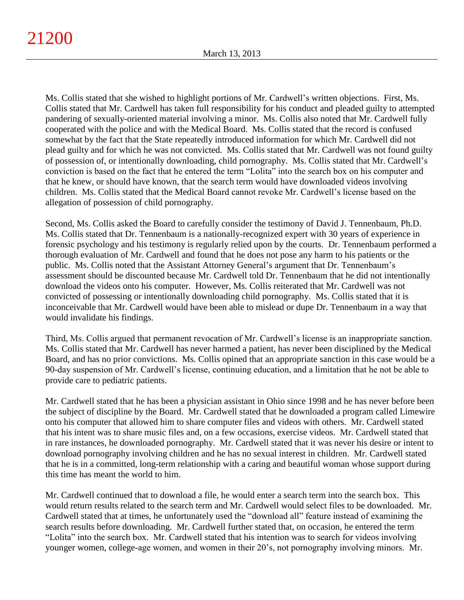Ms. Collis stated that she wished to highlight portions of Mr. Cardwell's written objections. First, Ms. Collis stated that Mr. Cardwell has taken full responsibility for his conduct and pleaded guilty to attempted pandering of sexually-oriented material involving a minor. Ms. Collis also noted that Mr. Cardwell fully cooperated with the police and with the Medical Board. Ms. Collis stated that the record is confused somewhat by the fact that the State repeatedly introduced information for which Mr. Cardwell did not plead guilty and for which he was not convicted. Ms. Collis stated that Mr. Cardwell was not found guilty of possession of, or intentionally downloading, child pornography. Ms. Collis stated that Mr. Cardwell's conviction is based on the fact that he entered the term "Lolita" into the search box on his computer and that he knew, or should have known, that the search term would have downloaded videos involving children. Ms. Collis stated that the Medical Board cannot revoke Mr. Cardwell's license based on the allegation of possession of child pornography.

Second, Ms. Collis asked the Board to carefully consider the testimony of David J. Tennenbaum, Ph.D. Ms. Collis stated that Dr. Tennenbaum is a nationally-recognized expert with 30 years of experience in forensic psychology and his testimony is regularly relied upon by the courts. Dr. Tennenbaum performed a thorough evaluation of Mr. Cardwell and found that he does not pose any harm to his patients or the public. Ms. Collis noted that the Assistant Attorney General's argument that Dr. Tennenbaum's assessment should be discounted because Mr. Cardwell told Dr. Tennenbaum that he did not intentionally download the videos onto his computer. However, Ms. Collis reiterated that Mr. Cardwell was not convicted of possessing or intentionally downloading child pornography. Ms. Collis stated that it is inconceivable that Mr. Cardwell would have been able to mislead or dupe Dr. Tennenbaum in a way that would invalidate his findings.

Third, Ms. Collis argued that permanent revocation of Mr. Cardwell's license is an inappropriate sanction. Ms. Collis stated that Mr. Cardwell has never harmed a patient, has never been disciplined by the Medical Board, and has no prior convictions. Ms. Collis opined that an appropriate sanction in this case would be a 90-day suspension of Mr. Cardwell's license, continuing education, and a limitation that he not be able to provide care to pediatric patients.

Mr. Cardwell stated that he has been a physician assistant in Ohio since 1998 and he has never before been the subject of discipline by the Board. Mr. Cardwell stated that he downloaded a program called Limewire onto his computer that allowed him to share computer files and videos with others. Mr. Cardwell stated that his intent was to share music files and, on a few occasions, exercise videos. Mr. Cardwell stated that in rare instances, he downloaded pornography. Mr. Cardwell stated that it was never his desire or intent to download pornography involving children and he has no sexual interest in children. Mr. Cardwell stated that he is in a committed, long-term relationship with a caring and beautiful woman whose support during this time has meant the world to him.

Mr. Cardwell continued that to download a file, he would enter a search term into the search box. This would return results related to the search term and Mr. Cardwell would select files to be downloaded. Mr. Cardwell stated that at times, he unfortunately used the "download all" feature instead of examining the search results before downloading. Mr. Cardwell further stated that, on occasion, he entered the term "Lolita" into the search box. Mr. Cardwell stated that his intention was to search for videos involving younger women, college-age women, and women in their 20's, not pornography involving minors. Mr.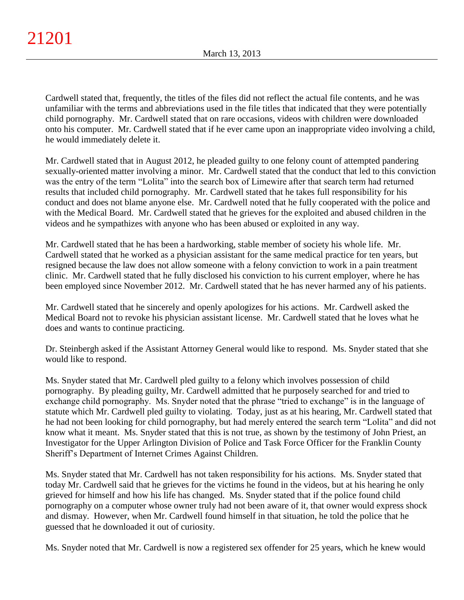Cardwell stated that, frequently, the titles of the files did not reflect the actual file contents, and he was unfamiliar with the terms and abbreviations used in the file titles that indicated that they were potentially child pornography. Mr. Cardwell stated that on rare occasions, videos with children were downloaded onto his computer. Mr. Cardwell stated that if he ever came upon an inappropriate video involving a child, he would immediately delete it.

Mr. Cardwell stated that in August 2012, he pleaded guilty to one felony count of attempted pandering sexually-oriented matter involving a minor. Mr. Cardwell stated that the conduct that led to this conviction was the entry of the term "Lolita" into the search box of Limewire after that search term had returned results that included child pornography. Mr. Cardwell stated that he takes full responsibility for his conduct and does not blame anyone else. Mr. Cardwell noted that he fully cooperated with the police and with the Medical Board. Mr. Cardwell stated that he grieves for the exploited and abused children in the videos and he sympathizes with anyone who has been abused or exploited in any way.

Mr. Cardwell stated that he has been a hardworking, stable member of society his whole life. Mr. Cardwell stated that he worked as a physician assistant for the same medical practice for ten years, but resigned because the law does not allow someone with a felony conviction to work in a pain treatment clinic. Mr. Cardwell stated that he fully disclosed his conviction to his current employer, where he has been employed since November 2012. Mr. Cardwell stated that he has never harmed any of his patients.

Mr. Cardwell stated that he sincerely and openly apologizes for his actions. Mr. Cardwell asked the Medical Board not to revoke his physician assistant license. Mr. Cardwell stated that he loves what he does and wants to continue practicing.

Dr. Steinbergh asked if the Assistant Attorney General would like to respond. Ms. Snyder stated that she would like to respond.

Ms. Snyder stated that Mr. Cardwell pled guilty to a felony which involves possession of child pornography. By pleading guilty, Mr. Cardwell admitted that he purposely searched for and tried to exchange child pornography. Ms. Snyder noted that the phrase "tried to exchange" is in the language of statute which Mr. Cardwell pled guilty to violating. Today, just as at his hearing, Mr. Cardwell stated that he had not been looking for child pornography, but had merely entered the search term "Lolita" and did not know what it meant. Ms. Snyder stated that this is not true, as shown by the testimony of John Priest, an Investigator for the Upper Arlington Division of Police and Task Force Officer for the Franklin County Sheriff's Department of Internet Crimes Against Children.

Ms. Snyder stated that Mr. Cardwell has not taken responsibility for his actions. Ms. Snyder stated that today Mr. Cardwell said that he grieves for the victims he found in the videos, but at his hearing he only grieved for himself and how his life has changed. Ms. Snyder stated that if the police found child pornography on a computer whose owner truly had not been aware of it, that owner would express shock and dismay. However, when Mr. Cardwell found himself in that situation, he told the police that he guessed that he downloaded it out of curiosity.

Ms. Snyder noted that Mr. Cardwell is now a registered sex offender for 25 years, which he knew would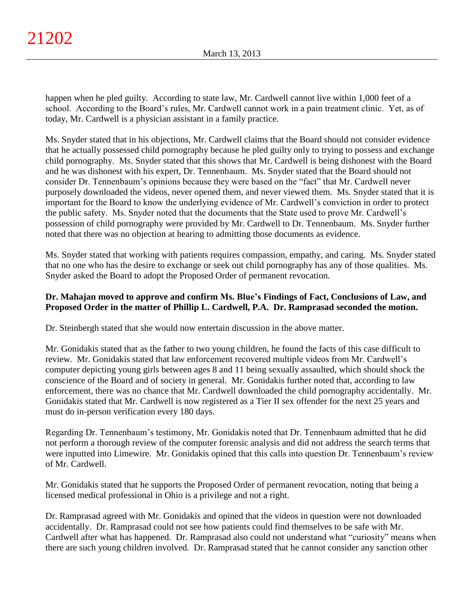happen when he pled guilty. According to state law, Mr. Cardwell cannot live within 1,000 feet of a school. According to the Board's rules, Mr. Cardwell cannot work in a pain treatment clinic. Yet, as of today, Mr. Cardwell is a physician assistant in a family practice.

Ms. Snyder stated that in his objections, Mr. Cardwell claims that the Board should not consider evidence that he actually possessed child pornography because he pled guilty only to trying to possess and exchange child pornography. Ms. Snyder stated that this shows that Mr. Cardwell is being dishonest with the Board and he was dishonest with his expert, Dr. Tennenbaum. Ms. Snyder stated that the Board should not consider Dr. Tennenbaum's opinions because they were based on the "fact" that Mr. Cardwell never purposely downloaded the videos, never opened them, and never viewed them. Ms. Snyder stated that it is important for the Board to know the underlying evidence of Mr. Cardwell's conviction in order to protect the public safety. Ms. Snyder noted that the documents that the State used to prove Mr. Cardwell's possession of child pornography were provided by Mr. Cardwell to Dr. Tennenbaum. Ms. Snyder further noted that there was no objection at hearing to admitting those documents as evidence.

Ms. Snyder stated that working with patients requires compassion, empathy, and caring. Ms. Snyder stated that no one who has the desire to exchange or seek out child pornography has any of those qualities. Ms. Snyder asked the Board to adopt the Proposed Order of permanent revocation.

## **Dr. Mahajan moved to approve and confirm Ms. Blue's Findings of Fact, Conclusions of Law, and Proposed Order in the matter of Phillip L. Cardwell, P.A. Dr. Ramprasad seconded the motion.**

Dr. Steinbergh stated that she would now entertain discussion in the above matter.

Mr. Gonidakis stated that as the father to two young children, he found the facts of this case difficult to review. Mr. Gonidakis stated that law enforcement recovered multiple videos from Mr. Cardwell's computer depicting young girls between ages 8 and 11 being sexually assaulted, which should shock the conscience of the Board and of society in general. Mr. Gonidakis further noted that, according to law enforcement, there was no chance that Mr. Cardwell downloaded the child pornography accidentally. Mr. Gonidakis stated that Mr. Cardwell is now registered as a Tier II sex offender for the next 25 years and must do in-person verification every 180 days.

Regarding Dr. Tennenbaum's testimony, Mr. Gonidakis noted that Dr. Tennenbaum admitted that he did not perform a thorough review of the computer forensic analysis and did not address the search terms that were inputted into Limewire. Mr. Gonidakis opined that this calls into question Dr. Tennenbaum's review of Mr. Cardwell.

Mr. Gonidakis stated that he supports the Proposed Order of permanent revocation, noting that being a licensed medical professional in Ohio is a privilege and not a right.

Dr. Ramprasad agreed with Mr. Gonidakis and opined that the videos in question were not downloaded accidentally. Dr. Ramprasad could not see how patients could find themselves to be safe with Mr. Cardwell after what has happened. Dr. Ramprasad also could not understand what "curiosity" means when there are such young children involved. Dr. Ramprasad stated that he cannot consider any sanction other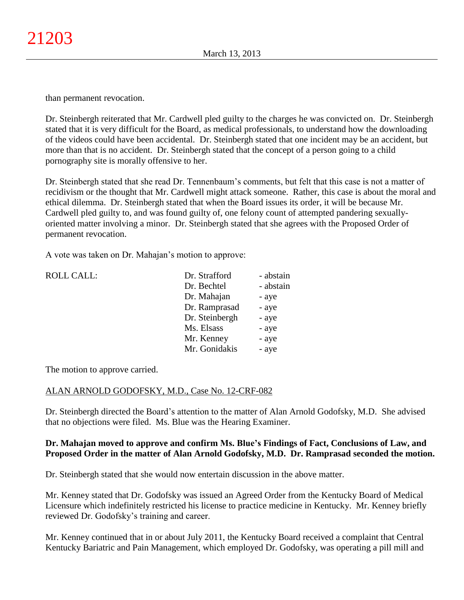than permanent revocation.

Dr. Steinbergh reiterated that Mr. Cardwell pled guilty to the charges he was convicted on. Dr. Steinbergh stated that it is very difficult for the Board, as medical professionals, to understand how the downloading of the videos could have been accidental. Dr. Steinbergh stated that one incident may be an accident, but more than that is no accident. Dr. Steinbergh stated that the concept of a person going to a child pornography site is morally offensive to her.

Dr. Steinbergh stated that she read Dr. Tennenbaum's comments, but felt that this case is not a matter of recidivism or the thought that Mr. Cardwell might attack someone. Rather, this case is about the moral and ethical dilemma. Dr. Steinbergh stated that when the Board issues its order, it will be because Mr. Cardwell pled guilty to, and was found guilty of, one felony count of attempted pandering sexuallyoriented matter involving a minor. Dr. Steinbergh stated that she agrees with the Proposed Order of permanent revocation.

A vote was taken on Dr. Mahajan's motion to approve:

| ROLL CALL: | Dr. Strafford  | - abstain |
|------------|----------------|-----------|
|            | Dr. Bechtel    | - abstain |
|            | Dr. Mahajan    | - aye     |
|            | Dr. Ramprasad  | - aye     |
|            | Dr. Steinbergh | - aye     |
|            | Ms. Elsass     | - aye     |
|            | Mr. Kenney     | - aye     |
|            | Mr. Gonidakis  | - aye     |
|            |                |           |

The motion to approve carried.

## ALAN ARNOLD GODOFSKY, M.D., Case No. 12-CRF-082

Dr. Steinbergh directed the Board's attention to the matter of Alan Arnold Godofsky, M.D. She advised that no objections were filed. Ms. Blue was the Hearing Examiner.

## **Dr. Mahajan moved to approve and confirm Ms. Blue's Findings of Fact, Conclusions of Law, and Proposed Order in the matter of Alan Arnold Godofsky, M.D. Dr. Ramprasad seconded the motion.**

Dr. Steinbergh stated that she would now entertain discussion in the above matter.

Mr. Kenney stated that Dr. Godofsky was issued an Agreed Order from the Kentucky Board of Medical Licensure which indefinitely restricted his license to practice medicine in Kentucky. Mr. Kenney briefly reviewed Dr. Godofsky's training and career.

Mr. Kenney continued that in or about July 2011, the Kentucky Board received a complaint that Central Kentucky Bariatric and Pain Management, which employed Dr. Godofsky, was operating a pill mill and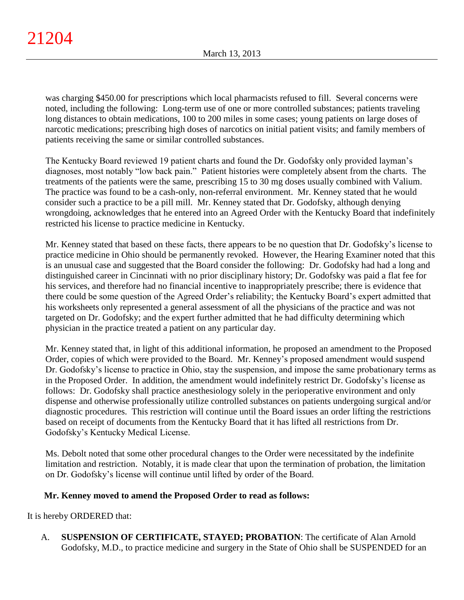was charging \$450.00 for prescriptions which local pharmacists refused to fill. Several concerns were noted, including the following: Long-term use of one or more controlled substances; patients traveling long distances to obtain medications, 100 to 200 miles in some cases; young patients on large doses of narcotic medications; prescribing high doses of narcotics on initial patient visits; and family members of patients receiving the same or similar controlled substances.

The Kentucky Board reviewed 19 patient charts and found the Dr. Godofsky only provided layman's diagnoses, most notably "low back pain." Patient histories were completely absent from the charts. The treatments of the patients were the same, prescribing 15 to 30 mg doses usually combined with Valium. The practice was found to be a cash-only, non-referral environment. Mr. Kenney stated that he would consider such a practice to be a pill mill. Mr. Kenney stated that Dr. Godofsky, although denying wrongdoing, acknowledges that he entered into an Agreed Order with the Kentucky Board that indefinitely restricted his license to practice medicine in Kentucky.

Mr. Kenney stated that based on these facts, there appears to be no question that Dr. Godofsky's license to practice medicine in Ohio should be permanently revoked. However, the Hearing Examiner noted that this is an unusual case and suggested that the Board consider the following: Dr. Godofsky had had a long and distinguished career in Cincinnati with no prior disciplinary history; Dr. Godofsky was paid a flat fee for his services, and therefore had no financial incentive to inappropriately prescribe; there is evidence that there could be some question of the Agreed Order's reliability; the Kentucky Board's expert admitted that his worksheets only represented a general assessment of all the physicians of the practice and was not targeted on Dr. Godofsky; and the expert further admitted that he had difficulty determining which physician in the practice treated a patient on any particular day.

Mr. Kenney stated that, in light of this additional information, he proposed an amendment to the Proposed Order, copies of which were provided to the Board. Mr. Kenney's proposed amendment would suspend Dr. Godofsky's license to practice in Ohio, stay the suspension, and impose the same probationary terms as in the Proposed Order. In addition, the amendment would indefinitely restrict Dr. Godofsky's license as follows: Dr. Godofsky shall practice anesthesiology solely in the perioperative environment and only dispense and otherwise professionally utilize controlled substances on patients undergoing surgical and/or diagnostic procedures. This restriction will continue until the Board issues an order lifting the restrictions based on receipt of documents from the Kentucky Board that it has lifted all restrictions from Dr. Godofsky's Kentucky Medical License.

Ms. Debolt noted that some other procedural changes to the Order were necessitated by the indefinite limitation and restriction. Notably, it is made clear that upon the termination of probation, the limitation on Dr. Godofsky's license will continue until lifted by order of the Board.

# **Mr. Kenney moved to amend the Proposed Order to read as follows:**

It is hereby ORDERED that:

A. **SUSPENSION OF CERTIFICATE, STAYED; PROBATION**: The certificate of Alan Arnold Godofsky, M.D., to practice medicine and surgery in the State of Ohio shall be SUSPENDED for an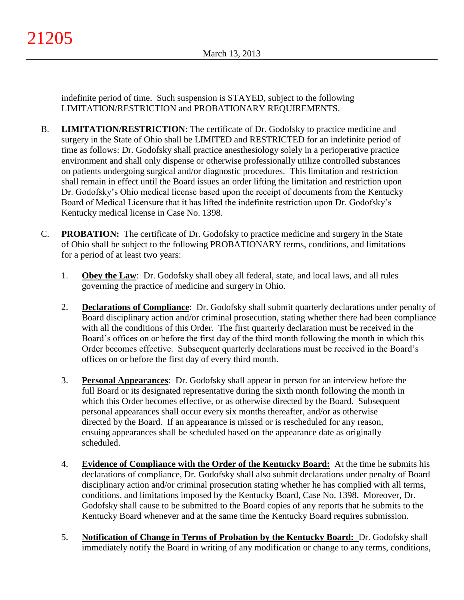indefinite period of time. Such suspension is STAYED, subject to the following LIMITATION/RESTRICTION and PROBATIONARY REQUIREMENTS.

- B. **LIMITATION/RESTRICTION**: The certificate of Dr. Godofsky to practice medicine and surgery in the State of Ohio shall be LIMITED and RESTRICTED for an indefinite period of time as follows: Dr. Godofsky shall practice anesthesiology solely in a perioperative practice environment and shall only dispense or otherwise professionally utilize controlled substances on patients undergoing surgical and/or diagnostic procedures. This limitation and restriction shall remain in effect until the Board issues an order lifting the limitation and restriction upon Dr. Godofsky's Ohio medical license based upon the receipt of documents from the Kentucky Board of Medical Licensure that it has lifted the indefinite restriction upon Dr. Godofsky's Kentucky medical license in Case No. 1398.
- C. **PROBATION:** The certificate of Dr. Godofsky to practice medicine and surgery in the State of Ohio shall be subject to the following PROBATIONARY terms, conditions, and limitations for a period of at least two years:
	- 1. **Obey the Law**: Dr. Godofsky shall obey all federal, state, and local laws, and all rules governing the practice of medicine and surgery in Ohio.
	- 2. **Declarations of Compliance**: Dr. Godofsky shall submit quarterly declarations under penalty of Board disciplinary action and/or criminal prosecution, stating whether there had been compliance with all the conditions of this Order. The first quarterly declaration must be received in the Board's offices on or before the first day of the third month following the month in which this Order becomes effective. Subsequent quarterly declarations must be received in the Board's offices on or before the first day of every third month.
	- 3. **Personal Appearances**: Dr. Godofsky shall appear in person for an interview before the full Board or its designated representative during the sixth month following the month in which this Order becomes effective, or as otherwise directed by the Board. Subsequent personal appearances shall occur every six months thereafter, and/or as otherwise directed by the Board. If an appearance is missed or is rescheduled for any reason, ensuing appearances shall be scheduled based on the appearance date as originally scheduled.
	- 4. **Evidence of Compliance with the Order of the Kentucky Board:** At the time he submits his declarations of compliance, Dr. Godofsky shall also submit declarations under penalty of Board disciplinary action and/or criminal prosecution stating whether he has complied with all terms, conditions, and limitations imposed by the Kentucky Board, Case No. 1398. Moreover, Dr. Godofsky shall cause to be submitted to the Board copies of any reports that he submits to the Kentucky Board whenever and at the same time the Kentucky Board requires submission.
	- 5. **Notification of Change in Terms of Probation by the Kentucky Board:** Dr. Godofsky shall immediately notify the Board in writing of any modification or change to any terms, conditions,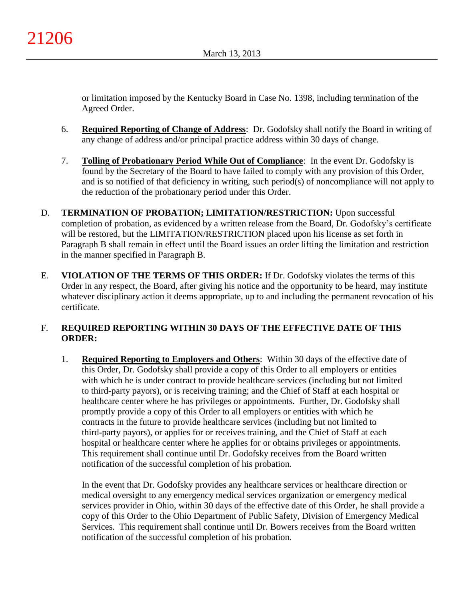or limitation imposed by the Kentucky Board in Case No. 1398, including termination of the Agreed Order.

- 6. **Required Reporting of Change of Address**: Dr. Godofsky shall notify the Board in writing of any change of address and/or principal practice address within 30 days of change.
- 7. **Tolling of Probationary Period While Out of Compliance**: In the event Dr. Godofsky is found by the Secretary of the Board to have failed to comply with any provision of this Order, and is so notified of that deficiency in writing, such period(s) of noncompliance will not apply to the reduction of the probationary period under this Order.
- D. **TERMINATION OF PROBATION; LIMITATION/RESTRICTION:** Upon successful completion of probation, as evidenced by a written release from the Board, Dr. Godofsky's certificate will be restored, but the LIMITATION/RESTRICTION placed upon his license as set forth in Paragraph B shall remain in effect until the Board issues an order lifting the limitation and restriction in the manner specified in Paragraph B.
- E. **VIOLATION OF THE TERMS OF THIS ORDER:** If Dr. Godofsky violates the terms of this Order in any respect, the Board, after giving his notice and the opportunity to be heard, may institute whatever disciplinary action it deems appropriate, up to and including the permanent revocation of his certificate.

# F. **REQUIRED REPORTING WITHIN 30 DAYS OF THE EFFECTIVE DATE OF THIS ORDER:**

1. **Required Reporting to Employers and Others**: Within 30 days of the effective date of this Order, Dr. Godofsky shall provide a copy of this Order to all employers or entities with which he is under contract to provide healthcare services (including but not limited to third-party payors), or is receiving training; and the Chief of Staff at each hospital or healthcare center where he has privileges or appointments. Further, Dr. Godofsky shall promptly provide a copy of this Order to all employers or entities with which he contracts in the future to provide healthcare services (including but not limited to third-party payors), or applies for or receives training, and the Chief of Staff at each hospital or healthcare center where he applies for or obtains privileges or appointments. This requirement shall continue until Dr. Godofsky receives from the Board written notification of the successful completion of his probation.

In the event that Dr. Godofsky provides any healthcare services or healthcare direction or medical oversight to any emergency medical services organization or emergency medical services provider in Ohio, within 30 days of the effective date of this Order, he shall provide a copy of this Order to the Ohio Department of Public Safety, Division of Emergency Medical Services. This requirement shall continue until Dr. Bowers receives from the Board written notification of the successful completion of his probation.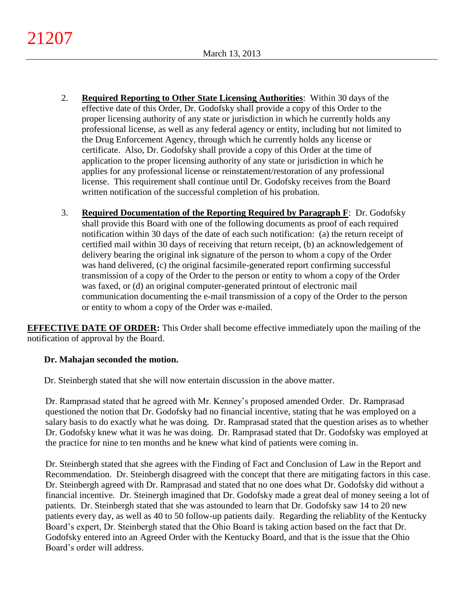- 2. **Required Reporting to Other State Licensing Authorities**: Within 30 days of the effective date of this Order, Dr. Godofsky shall provide a copy of this Order to the proper licensing authority of any state or jurisdiction in which he currently holds any professional license, as well as any federal agency or entity, including but not limited to the Drug Enforcement Agency, through which he currently holds any license or certificate. Also, Dr. Godofsky shall provide a copy of this Order at the time of application to the proper licensing authority of any state or jurisdiction in which he applies for any professional license or reinstatement/restoration of any professional license. This requirement shall continue until Dr. Godofsky receives from the Board written notification of the successful completion of his probation.
- 3. **Required Documentation of the Reporting Required by Paragraph F**: Dr. Godofsky shall provide this Board with one of the following documents as proof of each required notification within 30 days of the date of each such notification: (a) the return receipt of certified mail within 30 days of receiving that return receipt, (b) an acknowledgement of delivery bearing the original ink signature of the person to whom a copy of the Order was hand delivered, (c) the original facsimile-generated report confirming successful transmission of a copy of the Order to the person or entity to whom a copy of the Order was faxed, or (d) an original computer-generated printout of electronic mail communication documenting the e-mail transmission of a copy of the Order to the person or entity to whom a copy of the Order was e-mailed.

**EFFECTIVE DATE OF ORDER:** This Order shall become effective immediately upon the mailing of the notification of approval by the Board.

# **Dr. Mahajan seconded the motion.**

Dr. Steinbergh stated that she will now entertain discussion in the above matter.

Dr. Ramprasad stated that he agreed with Mr. Kenney's proposed amended Order. Dr. Ramprasad questioned the notion that Dr. Godofsky had no financial incentive, stating that he was employed on a salary basis to do exactly what he was doing. Dr. Ramprasad stated that the question arises as to whether Dr. Godofsky knew what it was he was doing. Dr. Ramprasad stated that Dr. Godofsky was employed at the practice for nine to ten months and he knew what kind of patients were coming in.

Dr. Steinbergh stated that she agrees with the Finding of Fact and Conclusion of Law in the Report and Recommendation. Dr. Steinbergh disagreed with the concept that there are mitigating factors in this case. Dr. Steinbergh agreed with Dr. Ramprasad and stated that no one does what Dr. Godofsky did without a financial incentive. Dr. Steinergh imagined that Dr. Godofsky made a great deal of money seeing a lot of patients. Dr. Steinbergh stated that she was astounded to learn that Dr. Godofsky saw 14 to 20 new patients every day, as well as 40 to 50 follow-up patients daily. Regarding the reliablity of the Kentucky Board's expert, Dr. Steinbergh stated that the Ohio Board is taking action based on the fact that Dr. Godofsky entered into an Agreed Order with the Kentucky Board, and that is the issue that the Ohio Board's order will address.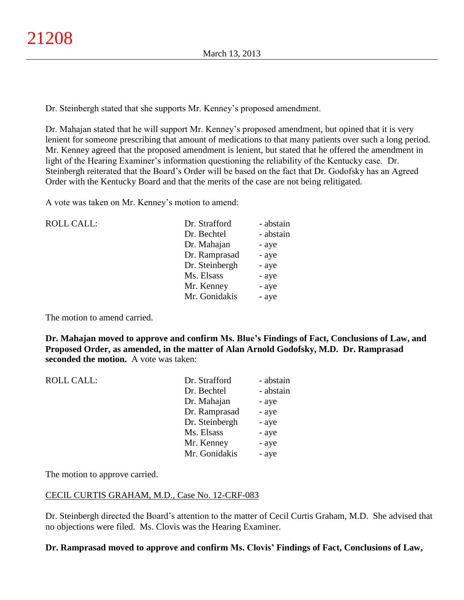Dr. Steinbergh stated that she supports Mr. Kenney's proposed amendment.

Dr. Mahajan stated that he will support Mr. Kenney's proposed amendment, but opined that it is very lenient for someone prescribing that amount of medications to that many patients over such a long period. Mr. Kenney agreed that the proposed amendment is lenient, but stated that he offered the amendment in light of the Hearing Examiner's information questioning the reliability of the Kentucky case. Dr. Steinbergh reiterated that the Board's Order will be based on the fact that Dr. Godofsky has an Agreed Order with the Kentucky Board and that the merits of the case are not being relitigated.

A vote was taken on Mr. Kenney's motion to amend:

| ROLL CALL: | Dr. Strafford  | - abstain |
|------------|----------------|-----------|
|            | Dr. Bechtel    | - abstain |
|            | Dr. Mahajan    | - aye     |
|            | Dr. Ramprasad  | - aye     |
|            | Dr. Steinbergh | - aye     |
|            | Ms. Elsass     | - aye     |
|            | Mr. Kenney     | - aye     |
|            | Mr. Gonidakis  | - aye     |
|            |                |           |

The motion to amend carried.

**Dr. Mahajan moved to approve and confirm Ms. Blue's Findings of Fact, Conclusions of Law, and Proposed Order, as amended, in the matter of Alan Arnold Godofsky, M.D. Dr. Ramprasad seconded the motion.** A vote was taken:

| <b>ROLL CALL:</b> | Dr. Strafford  | - abstain |
|-------------------|----------------|-----------|
|                   | Dr. Bechtel    | - abstain |
|                   | Dr. Mahajan    | - aye     |
|                   | Dr. Ramprasad  | - aye     |
|                   | Dr. Steinbergh | - aye     |
|                   | Ms. Elsass     | - aye     |
|                   | Mr. Kenney     | - aye     |
|                   | Mr. Gonidakis  | - aye     |
|                   |                |           |

The motion to approve carried.

## CECIL CURTIS GRAHAM, M.D., Case No. 12-CRF-083

Dr. Steinbergh directed the Board's attention to the matter of Cecil Curtis Graham, M.D. She advised that no objections were filed. Ms. Clovis was the Hearing Examiner.

## **Dr. Ramprasad moved to approve and confirm Ms. Clovis' Findings of Fact, Conclusions of Law,**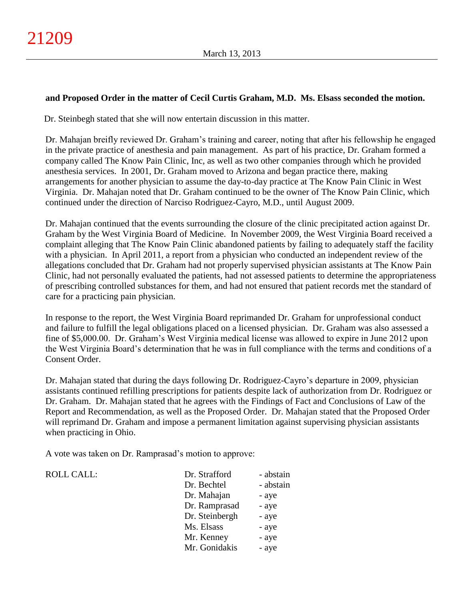## **and Proposed Order in the matter of Cecil Curtis Graham, M.D. Ms. Elsass seconded the motion.**

Dr. Steinbegh stated that she will now entertain discussion in this matter.

Dr. Mahajan breifly reviewed Dr. Graham's training and career, noting that after his fellowship he engaged in the private practice of anesthesia and pain management. As part of his practice, Dr. Graham formed a company called The Know Pain Clinic, Inc, as well as two other companies through which he provided anesthesia services. In 2001, Dr. Graham moved to Arizona and began practice there, making arrangements for another physician to assume the day-to-day practice at The Know Pain Clinic in West Virginia. Dr. Mahajan noted that Dr. Graham continued to be the owner of The Know Pain Clinic, which continued under the direction of Narciso Rodriguez-Cayro, M.D., until August 2009.

Dr. Mahajan continued that the events surrounding the closure of the clinic precipitated action against Dr. Graham by the West Virginia Board of Medicine. In November 2009, the West Virginia Board received a complaint alleging that The Know Pain Clinic abandoned patients by failing to adequately staff the facility with a physician. In April 2011, a report from a physician who conducted an independent review of the allegations concluded that Dr. Graham had not properly supervised physician assistants at The Know Pain Clinic, had not personally evaluated the patients, had not assessed patients to determine the appropriateness of prescribing controlled substances for them, and had not ensured that patient records met the standard of care for a practicing pain physician.

In response to the report, the West Virginia Board reprimanded Dr. Graham for unprofessional conduct and failure to fulfill the legal obligations placed on a licensed physician. Dr. Graham was also assessed a fine of \$5,000.00. Dr. Graham's West Virginia medical license was allowed to expire in June 2012 upon the West Virginia Board's determination that he was in full compliance with the terms and conditions of a Consent Order.

Dr. Mahajan stated that during the days following Dr. Rodriguez-Cayro's departure in 2009, physician assistants continued refilling prescriptions for patients despite lack of authorization from Dr. Rodriguez or Dr. Graham. Dr. Mahajan stated that he agrees with the Findings of Fact and Conclusions of Law of the Report and Recommendation, as well as the Proposed Order. Dr. Mahajan stated that the Proposed Order will reprimand Dr. Graham and impose a permanent limitation against supervising physician assistants when practicing in Ohio.

A vote was taken on Dr. Ramprasad's motion to approve:

ROLL CALL:

| Dr. Strafford  | - abstain |
|----------------|-----------|
| Dr. Bechtel    | - abstain |
| Dr. Mahajan    | - aye     |
| Dr. Ramprasad  | - aye     |
| Dr. Steinbergh | - aye     |
| Ms. Elsass     | - aye     |
| Mr. Kenney     | - aye     |
| Mr. Gonidakis  | - aye     |
|                |           |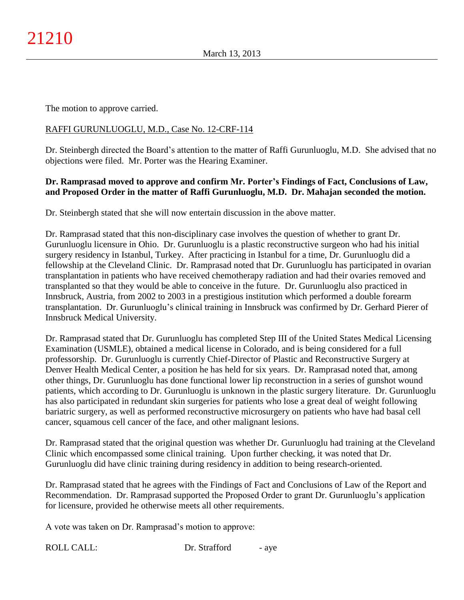The motion to approve carried.

## RAFFI GURUNLUOGLU, M.D., Case No. 12-CRF-114

Dr. Steinbergh directed the Board's attention to the matter of Raffi Gurunluoglu, M.D. She advised that no objections were filed. Mr. Porter was the Hearing Examiner.

# **Dr. Ramprasad moved to approve and confirm Mr. Porter's Findings of Fact, Conclusions of Law, and Proposed Order in the matter of Raffi Gurunluoglu, M.D. Dr. Mahajan seconded the motion.**

Dr. Steinbergh stated that she will now entertain discussion in the above matter.

Dr. Ramprasad stated that this non-disciplinary case involves the question of whether to grant Dr. Gurunluoglu licensure in Ohio. Dr. Gurunluoglu is a plastic reconstructive surgeon who had his initial surgery residency in Istanbul, Turkey. After practicing in Istanbul for a time, Dr. Gurunluoglu did a fellowship at the Cleveland Clinic. Dr. Ramprasad noted that Dr. Gurunluoglu has participated in ovarian transplantation in patients who have received chemotherapy radiation and had their ovaries removed and transplanted so that they would be able to conceive in the future. Dr. Gurunluoglu also practiced in Innsbruck, Austria, from 2002 to 2003 in a prestigious institution which performed a double forearm transplantation. Dr. Gurunluoglu's clinical training in Innsbruck was confirmed by Dr. Gerhard Pierer of Innsbruck Medical University.

Dr. Ramprasad stated that Dr. Gurunluoglu has completed Step III of the United States Medical Licensing Examination (USMLE), obtained a medical license in Colorado, and is being considered for a full professorship. Dr. Gurunluoglu is currently Chief-Director of Plastic and Reconstructive Surgery at Denver Health Medical Center, a position he has held for six years. Dr. Ramprasad noted that, among other things, Dr. Gurunluoglu has done functional lower lip reconstruction in a series of gunshot wound patients, which according to Dr. Gurunluoglu is unknown in the plastic surgery literature. Dr. Gurunluoglu has also participated in redundant skin surgeries for patients who lose a great deal of weight following bariatric surgery, as well as performed reconstructive microsurgery on patients who have had basal cell cancer, squamous cell cancer of the face, and other malignant lesions.

Dr. Ramprasad stated that the original question was whether Dr. Gurunluoglu had training at the Cleveland Clinic which encompassed some clinical training. Upon further checking, it was noted that Dr. Gurunluoglu did have clinic training during residency in addition to being research-oriented.

Dr. Ramprasad stated that he agrees with the Findings of Fact and Conclusions of Law of the Report and Recommendation. Dr. Ramprasad supported the Proposed Order to grant Dr. Gurunluoglu's application for licensure, provided he otherwise meets all other requirements.

A vote was taken on Dr. Ramprasad's motion to approve:

ROLL CALL: Dr. Strafford - aye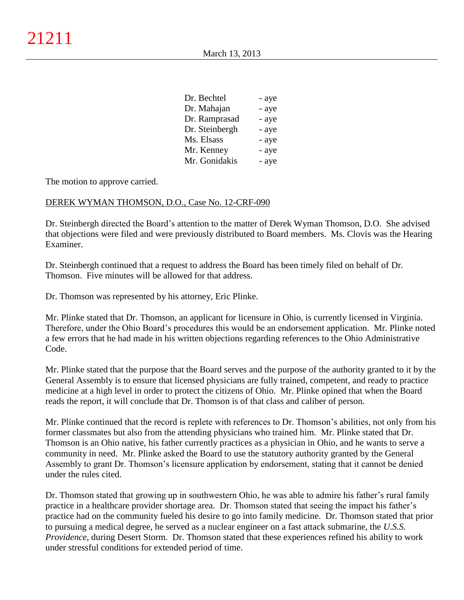| - aye |
|-------|
| - aye |
| - aye |
| - aye |
| - aye |
| - aye |
| - aye |
|       |

The motion to approve carried.

### DEREK WYMAN THOMSON, D.O., Case No. 12-CRF-090

Dr. Steinbergh directed the Board's attention to the matter of Derek Wyman Thomson, D.O. She advised that objections were filed and were previously distributed to Board members. Ms. Clovis was the Hearing Examiner.

Dr. Steinbergh continued that a request to address the Board has been timely filed on behalf of Dr. Thomson. Five minutes will be allowed for that address.

Dr. Thomson was represented by his attorney, Eric Plinke.

Mr. Plinke stated that Dr. Thomson, an applicant for licensure in Ohio, is currently licensed in Virginia. Therefore, under the Ohio Board's procedures this would be an endorsement application. Mr. Plinke noted a few errors that he had made in his written objections regarding references to the Ohio Administrative Code.

Mr. Plinke stated that the purpose that the Board serves and the purpose of the authority granted to it by the General Assembly is to ensure that licensed physicians are fully trained, competent, and ready to practice medicine at a high level in order to protect the citizens of Ohio. Mr. Plinke opined that when the Board reads the report, it will conclude that Dr. Thomson is of that class and caliber of person.

Mr. Plinke continued that the record is replete with references to Dr. Thomson's abilities, not only from his former classmates but also from the attending physicians who trained him. Mr. Plinke stated that Dr. Thomson is an Ohio native, his father currently practices as a physician in Ohio, and he wants to serve a community in need. Mr. Plinke asked the Board to use the statutory authority granted by the General Assembly to grant Dr. Thomson's licensure application by endorsement, stating that it cannot be denied under the rules cited.

Dr. Thomson stated that growing up in southwestern Ohio, he was able to admire his father's rural family practice in a healthcare provider shortage area. Dr. Thomson stated that seeing the impact his father's practice had on the community fueled his desire to go into family medicine. Dr. Thomson stated that prior to pursuing a medical degree, he served as a nuclear engineer on a fast attack submarine, the *U.S.S. Providence*, during Desert Storm. Dr. Thomson stated that these experiences refined his ability to work under stressful conditions for extended period of time.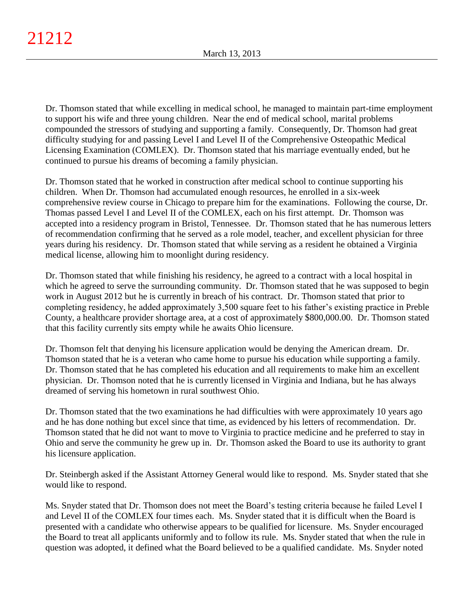Dr. Thomson stated that while excelling in medical school, he managed to maintain part-time employment to support his wife and three young children. Near the end of medical school, marital problems compounded the stressors of studying and supporting a family. Consequently, Dr. Thomson had great difficulty studying for and passing Level I and Level II of the Comprehensive Osteopathic Medical Licensing Examination (COMLEX). Dr. Thomson stated that his marriage eventually ended, but he continued to pursue his dreams of becoming a family physician.

Dr. Thomson stated that he worked in construction after medical school to continue supporting his children. When Dr. Thomson had accumulated enough resources, he enrolled in a six-week comprehensive review course in Chicago to prepare him for the examinations. Following the course, Dr. Thomas passed Level I and Level II of the COMLEX, each on his first attempt. Dr. Thomson was accepted into a residency program in Bristol, Tennessee. Dr. Thomson stated that he has numerous letters of recommendation confirming that he served as a role model, teacher, and excellent physician for three years during his residency. Dr. Thomson stated that while serving as a resident he obtained a Virginia medical license, allowing him to moonlight during residency.

Dr. Thomson stated that while finishing his residency, he agreed to a contract with a local hospital in which he agreed to serve the surrounding community. Dr. Thomson stated that he was supposed to begin work in August 2012 but he is currently in breach of his contract. Dr. Thomson stated that prior to completing residency, he added approximately 3,500 square feet to his father's existing practice in Preble County, a healthcare provider shortage area, at a cost of approximately \$800,000.00. Dr. Thomson stated that this facility currently sits empty while he awaits Ohio licensure.

Dr. Thomson felt that denying his licensure application would be denying the American dream. Dr. Thomson stated that he is a veteran who came home to pursue his education while supporting a family. Dr. Thomson stated that he has completed his education and all requirements to make him an excellent physician. Dr. Thomson noted that he is currently licensed in Virginia and Indiana, but he has always dreamed of serving his hometown in rural southwest Ohio.

Dr. Thomson stated that the two examinations he had difficulties with were approximately 10 years ago and he has done nothing but excel since that time, as evidenced by his letters of recommendation. Dr. Thomson stated that he did not want to move to Virginia to practice medicine and he preferred to stay in Ohio and serve the community he grew up in. Dr. Thomson asked the Board to use its authority to grant his licensure application.

Dr. Steinbergh asked if the Assistant Attorney General would like to respond. Ms. Snyder stated that she would like to respond.

Ms. Snyder stated that Dr. Thomson does not meet the Board's testing criteria because he failed Level I and Level II of the COMLEX four times each. Ms. Snyder stated that it is difficult when the Board is presented with a candidate who otherwise appears to be qualified for licensure. Ms. Snyder encouraged the Board to treat all applicants uniformly and to follow its rule. Ms. Snyder stated that when the rule in question was adopted, it defined what the Board believed to be a qualified candidate. Ms. Snyder noted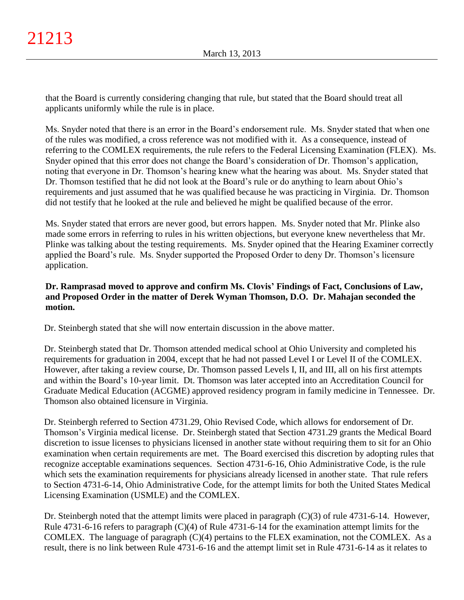that the Board is currently considering changing that rule, but stated that the Board should treat all applicants uniformly while the rule is in place.

Ms. Snyder noted that there is an error in the Board's endorsement rule. Ms. Snyder stated that when one of the rules was modified, a cross reference was not modified with it. As a consequence, instead of referring to the COMLEX requirements, the rule refers to the Federal Licensing Examination (FLEX). Ms. Snyder opined that this error does not change the Board's consideration of Dr. Thomson's application, noting that everyone in Dr. Thomson's hearing knew what the hearing was about. Ms. Snyder stated that Dr. Thomson testified that he did not look at the Board's rule or do anything to learn about Ohio's requirements and just assumed that he was qualified because he was practicing in Virginia. Dr. Thomson did not testify that he looked at the rule and believed he might be qualified because of the error.

Ms. Snyder stated that errors are never good, but errors happen. Ms. Snyder noted that Mr. Plinke also made some errors in referring to rules in his written objections, but everyone knew nevertheless that Mr. Plinke was talking about the testing requirements. Ms. Snyder opined that the Hearing Examiner correctly applied the Board's rule. Ms. Snyder supported the Proposed Order to deny Dr. Thomson's licensure application.

# **Dr. Ramprasad moved to approve and confirm Ms. Clovis' Findings of Fact, Conclusions of Law, and Proposed Order in the matter of Derek Wyman Thomson, D.O. Dr. Mahajan seconded the motion.**

Dr. Steinbergh stated that she will now entertain discussion in the above matter.

Dr. Steinbergh stated that Dr. Thomson attended medical school at Ohio University and completed his requirements for graduation in 2004, except that he had not passed Level I or Level II of the COMLEX. However, after taking a review course, Dr. Thomson passed Levels I, II, and III, all on his first attempts and within the Board's 10-year limit. Dt. Thomson was later accepted into an Accreditation Council for Graduate Medical Education (ACGME) approved residency program in family medicine in Tennessee. Dr. Thomson also obtained licensure in Virginia.

Dr. Steinbergh referred to Section 4731.29, Ohio Revised Code, which allows for endorsement of Dr. Thomson's Virginia medical license. Dr. Steinbergh stated that Section 4731.29 grants the Medical Board discretion to issue licenses to physicians licensed in another state without requiring them to sit for an Ohio examination when certain requirements are met. The Board exercised this discretion by adopting rules that recognize acceptable examinations sequences. Section 4731-6-16, Ohio Administrative Code, is the rule which sets the examination requirements for physicians already licensed in another state. That rule refers to Section 4731-6-14, Ohio Administrative Code, for the attempt limits for both the United States Medical Licensing Examination (USMLE) and the COMLEX.

Dr. Steinbergh noted that the attempt limits were placed in paragraph (C)(3) of rule 4731-6-14. However, Rule 4731-6-16 refers to paragraph (C)(4) of Rule 4731-6-14 for the examination attempt limits for the COMLEX. The language of paragraph  $(C)(4)$  pertains to the FLEX examination, not the COMLEX. As a result, there is no link between Rule 4731-6-16 and the attempt limit set in Rule 4731-6-14 as it relates to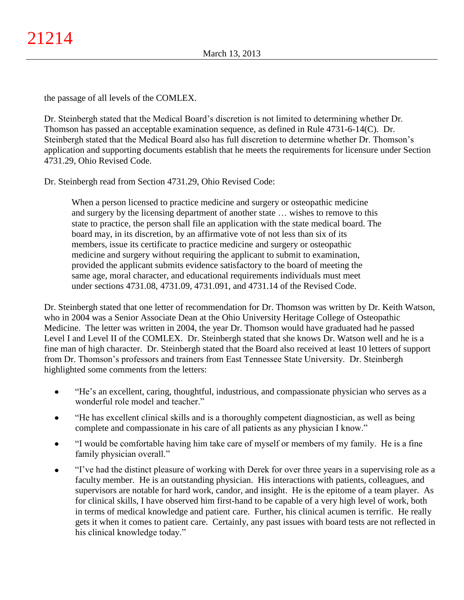the passage of all levels of the COMLEX.

Dr. Steinbergh stated that the Medical Board's discretion is not limited to determining whether Dr. Thomson has passed an acceptable examination sequence, as defined in Rule 4731-6-14(C). Dr. Steinbergh stated that the Medical Board also has full discretion to determine whether Dr. Thomson's application and supporting documents establish that he meets the requirements for licensure under Section 4731.29, Ohio Revised Code.

Dr. Steinbergh read from Section 4731.29, Ohio Revised Code:

When a person licensed to practice medicine and surgery or osteopathic medicine and surgery by the licensing department of another state … wishes to remove to this state to practice, the person shall file an application with the state medical board. The board may, in its discretion, by an affirmative vote of not less than six of its members, issue its certificate to practice medicine and surgery or osteopathic medicine and surgery without requiring the applicant to submit to examination, provided the applicant submits evidence satisfactory to the board of meeting the same age, moral character, and educational requirements individuals must meet under sections 4731.08, 4731.09, 4731.091, and 4731.14 of the Revised Code.

Dr. Steinbergh stated that one letter of recommendation for Dr. Thomson was written by Dr. Keith Watson, who in 2004 was a Senior Associate Dean at the Ohio University Heritage College of Osteopathic Medicine. The letter was written in 2004, the year Dr. Thomson would have graduated had he passed Level I and Level II of the COMLEX. Dr. Steinbergh stated that she knows Dr. Watson well and he is a fine man of high character. Dr. Steinbergh stated that the Board also received at least 10 letters of support from Dr. Thomson's professors and trainers from East Tennessee State University. Dr. Steinbergh highlighted some comments from the letters:

- "He's an excellent, caring, thoughtful, industrious, and compassionate physician who serves as a  $\bullet$ wonderful role model and teacher."
- "He has excellent clinical skills and is a thoroughly competent diagnostician, as well as being  $\bullet$ complete and compassionate in his care of all patients as any physician I know."
- "I would be comfortable having him take care of myself or members of my family. He is a fine  $\bullet$ family physician overall."
- "I've had the distinct pleasure of working with Derek for over three years in a supervising role as a  $\bullet$ faculty member. He is an outstanding physician. His interactions with patients, colleagues, and supervisors are notable for hard work, candor, and insight. He is the epitome of a team player. As for clinical skills, I have observed him first-hand to be capable of a very high level of work, both in terms of medical knowledge and patient care. Further, his clinical acumen is terrific. He really gets it when it comes to patient care. Certainly, any past issues with board tests are not reflected in his clinical knowledge today."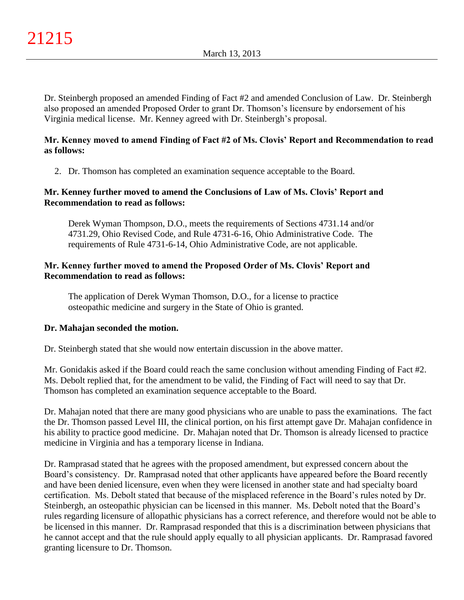Dr. Steinbergh proposed an amended Finding of Fact #2 and amended Conclusion of Law. Dr. Steinbergh also proposed an amended Proposed Order to grant Dr. Thomson's licensure by endorsement of his Virginia medical license. Mr. Kenney agreed with Dr. Steinbergh's proposal.

## **Mr. Kenney moved to amend Finding of Fact #2 of Ms. Clovis' Report and Recommendation to read as follows:**

2. Dr. Thomson has completed an examination sequence acceptable to the Board.

## **Mr. Kenney further moved to amend the Conclusions of Law of Ms. Clovis' Report and Recommendation to read as follows:**

Derek Wyman Thompson, D.O., meets the requirements of Sections 4731.14 and/or 4731.29, Ohio Revised Code, and Rule 4731-6-16, Ohio Administrative Code. The requirements of Rule 4731-6-14, Ohio Administrative Code, are not applicable.

## **Mr. Kenney further moved to amend the Proposed Order of Ms. Clovis' Report and Recommendation to read as follows:**

The application of Derek Wyman Thomson, D.O., for a license to practice osteopathic medicine and surgery in the State of Ohio is granted.

# **Dr. Mahajan seconded the motion.**

Dr. Steinbergh stated that she would now entertain discussion in the above matter.

Mr. Gonidakis asked if the Board could reach the same conclusion without amending Finding of Fact #2. Ms. Debolt replied that, for the amendment to be valid, the Finding of Fact will need to say that Dr. Thomson has completed an examination sequence acceptable to the Board.

Dr. Mahajan noted that there are many good physicians who are unable to pass the examinations. The fact the Dr. Thomson passed Level III, the clinical portion, on his first attempt gave Dr. Mahajan confidence in his ability to practice good medicine. Dr. Mahajan noted that Dr. Thomson is already licensed to practice medicine in Virginia and has a temporary license in Indiana.

Dr. Ramprasad stated that he agrees with the proposed amendment, but expressed concern about the Board's consistency. Dr. Ramprasad noted that other applicants have appeared before the Board recently and have been denied licensure, even when they were licensed in another state and had specialty board certification. Ms. Debolt stated that because of the misplaced reference in the Board's rules noted by Dr. Steinbergh, an osteopathic physician can be licensed in this manner. Ms. Debolt noted that the Board's rules regarding licensure of allopathic physicians has a correct reference, and therefore would not be able to be licensed in this manner. Dr. Ramprasad responded that this is a discrimination between physicians that he cannot accept and that the rule should apply equally to all physician applicants. Dr. Ramprasad favored granting licensure to Dr. Thomson.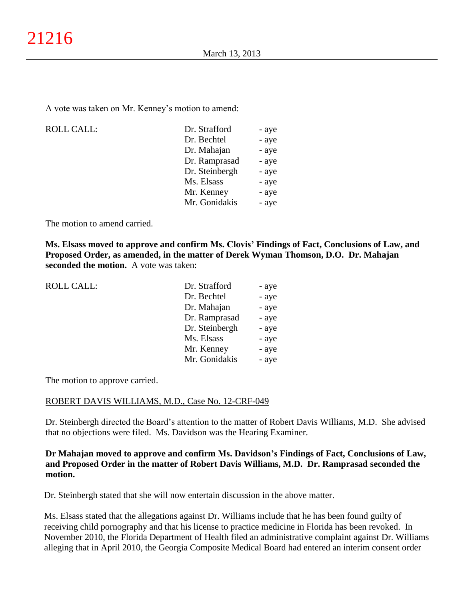A vote was taken on Mr. Kenney's motion to amend:

ROLL CALL:

| - aye |
|-------|
| - aye |
| - aye |
| - aye |
| - aye |
| - aye |
| - aye |
| - aye |
|       |

The motion to amend carried.

**Ms. Elsass moved to approve and confirm Ms. Clovis' Findings of Fact, Conclusions of Law, and Proposed Order, as amended, in the matter of Derek Wyman Thomson, D.O. Dr. Mahajan seconded the motion.** A vote was taken:

| <b>ROLL CALL:</b> | Dr. Strafford  | - aye |
|-------------------|----------------|-------|
|                   | Dr. Bechtel    | - aye |
|                   | Dr. Mahajan    | - aye |
|                   | Dr. Ramprasad  | - aye |
|                   | Dr. Steinbergh | - aye |
|                   | Ms. Elsass     | - aye |
|                   | Mr. Kenney     | - aye |
|                   | Mr. Gonidakis  | - aye |
|                   |                |       |

The motion to approve carried.

#### ROBERT DAVIS WILLIAMS, M.D., Case No. 12-CRF-049

Dr. Steinbergh directed the Board's attention to the matter of Robert Davis Williams, M.D. She advised that no objections were filed. Ms. Davidson was the Hearing Examiner.

## **Dr Mahajan moved to approve and confirm Ms. Davidson's Findings of Fact, Conclusions of Law, and Proposed Order in the matter of Robert Davis Williams, M.D. Dr. Ramprasad seconded the motion.**

Dr. Steinbergh stated that she will now entertain discussion in the above matter.

Ms. Elsass stated that the allegations against Dr. Williams include that he has been found guilty of receiving child pornography and that his license to practice medicine in Florida has been revoked. In November 2010, the Florida Department of Health filed an administrative complaint against Dr. Williams alleging that in April 2010, the Georgia Composite Medical Board had entered an interim consent order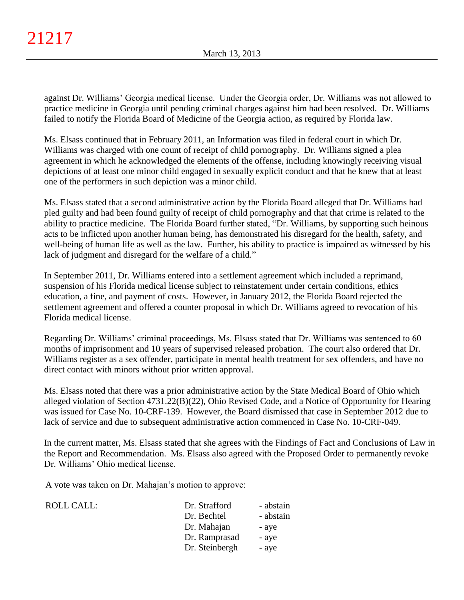against Dr. Williams' Georgia medical license. Under the Georgia order, Dr. Williams was not allowed to practice medicine in Georgia until pending criminal charges against him had been resolved. Dr. Williams failed to notify the Florida Board of Medicine of the Georgia action, as required by Florida law.

Ms. Elsass continued that in February 2011, an Information was filed in federal court in which Dr. Williams was charged with one count of receipt of child pornography. Dr. Williams signed a plea agreement in which he acknowledged the elements of the offense, including knowingly receiving visual depictions of at least one minor child engaged in sexually explicit conduct and that he knew that at least one of the performers in such depiction was a minor child.

Ms. Elsass stated that a second administrative action by the Florida Board alleged that Dr. Williams had pled guilty and had been found guilty of receipt of child pornography and that that crime is related to the ability to practice medicine. The Florida Board further stated, "Dr. Williams, by supporting such heinous acts to be inflicted upon another human being, has demonstrated his disregard for the health, safety, and well-being of human life as well as the law. Further, his ability to practice is impaired as witnessed by his lack of judgment and disregard for the welfare of a child."

In September 2011, Dr. Williams entered into a settlement agreement which included a reprimand, suspension of his Florida medical license subject to reinstatement under certain conditions, ethics education, a fine, and payment of costs. However, in January 2012, the Florida Board rejected the settlement agreement and offered a counter proposal in which Dr. Williams agreed to revocation of his Florida medical license.

Regarding Dr. Williams' criminal proceedings, Ms. Elsass stated that Dr. Williams was sentenced to 60 months of imprisonment and 10 years of supervised released probation. The court also ordered that Dr. Williams register as a sex offender, participate in mental health treatment for sex offenders, and have no direct contact with minors without prior written approval.

Ms. Elsass noted that there was a prior administrative action by the State Medical Board of Ohio which alleged violation of Section 4731.22(B)(22), Ohio Revised Code, and a Notice of Opportunity for Hearing was issued for Case No. 10-CRF-139. However, the Board dismissed that case in September 2012 due to lack of service and due to subsequent administrative action commenced in Case No. 10-CRF-049.

In the current matter, Ms. Elsass stated that she agrees with the Findings of Fact and Conclusions of Law in the Report and Recommendation. Ms. Elsass also agreed with the Proposed Order to permanently revoke Dr. Williams' Ohio medical license.

A vote was taken on Dr. Mahajan's motion to approve:

| Dr. Strafford  | - abstain |
|----------------|-----------|
| Dr. Bechtel    | - abstain |
| Dr. Mahajan    | - aye     |
| Dr. Ramprasad  | - aye     |
| Dr. Steinbergh | - aye     |
|                |           |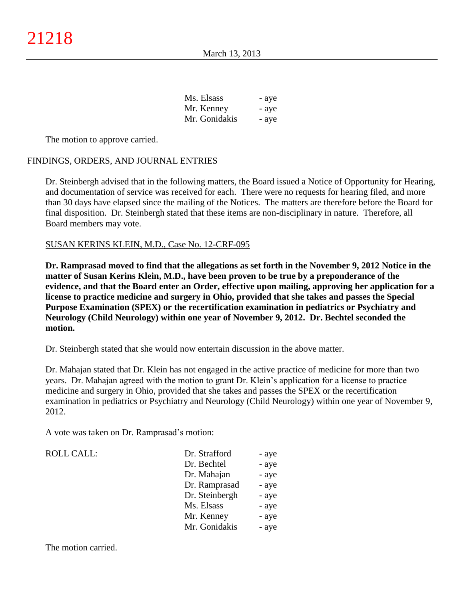| Ms. Elsass    | - aye |
|---------------|-------|
| Mr. Kenney    | - aye |
| Mr. Gonidakis | - aye |

The motion to approve carried.

### FINDINGS, ORDERS, AND JOURNAL ENTRIES

Dr. Steinbergh advised that in the following matters, the Board issued a Notice of Opportunity for Hearing, and documentation of service was received for each. There were no requests for hearing filed, and more than 30 days have elapsed since the mailing of the Notices.The matters are therefore before the Board for final disposition. Dr. Steinbergh stated that these items are non-disciplinary in nature. Therefore, all Board members may vote.

### SUSAN KERINS KLEIN, M.D., Case No. 12-CRF-095

**Dr. Ramprasad moved to find that the allegations as set forth in the November 9, 2012 Notice in the matter of Susan Kerins Klein, M.D., have been proven to be true by a preponderance of the evidence, and that the Board enter an Order, effective upon mailing, approving her application for a license to practice medicine and surgery in Ohio, provided that she takes and passes the Special Purpose Examination (SPEX) or the recertification examination in pediatrics or Psychiatry and Neurology (Child Neurology) within one year of November 9, 2012. Dr. Bechtel seconded the motion.**

Dr. Steinbergh stated that she would now entertain discussion in the above matter.

Dr. Mahajan stated that Dr. Klein has not engaged in the active practice of medicine for more than two years. Dr. Mahajan agreed with the motion to grant Dr. Klein's application for a license to practice medicine and surgery in Ohio, provided that she takes and passes the SPEX or the recertification examination in pediatrics or Psychiatry and Neurology (Child Neurology) within one year of November 9, 2012.

A vote was taken on Dr. Ramprasad's motion:

| <b>ROLL CALL:</b> | Dr. Strafford  | - aye |
|-------------------|----------------|-------|
|                   | Dr. Bechtel    | - aye |
|                   | Dr. Mahajan    | - aye |
|                   | Dr. Ramprasad  | - aye |
|                   | Dr. Steinbergh | - aye |
|                   | Ms. Elsass     | - aye |
|                   | Mr. Kenney     | - aye |
|                   | Mr. Gonidakis  | - aye |

The motion carried.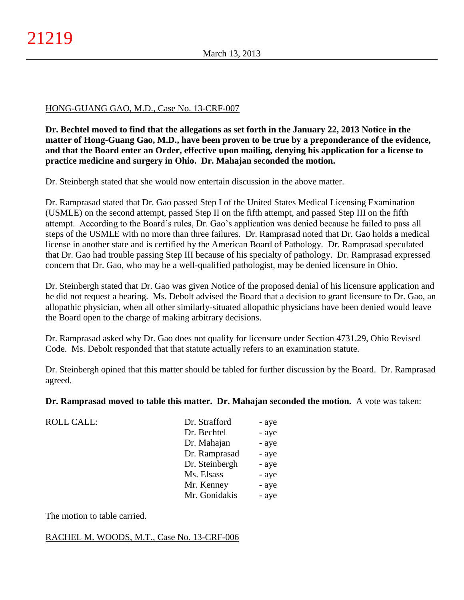## HONG-GUANG GAO, M.D., Case No. 13-CRF-007

**Dr. Bechtel moved to find that the allegations as set forth in the January 22, 2013 Notice in the matter of Hong-Guang Gao, M.D., have been proven to be true by a preponderance of the evidence, and that the Board enter an Order, effective upon mailing, denying his application for a license to practice medicine and surgery in Ohio. Dr. Mahajan seconded the motion.**

Dr. Steinbergh stated that she would now entertain discussion in the above matter.

Dr. Ramprasad stated that Dr. Gao passed Step I of the United States Medical Licensing Examination (USMLE) on the second attempt, passed Step II on the fifth attempt, and passed Step III on the fifth attempt. According to the Board's rules, Dr. Gao's application was denied because he failed to pass all steps of the USMLE with no more than three failures. Dr. Ramprasad noted that Dr. Gao holds a medical license in another state and is certified by the American Board of Pathology. Dr. Ramprasad speculated that Dr. Gao had trouble passing Step III because of his specialty of pathology. Dr. Ramprasad expressed concern that Dr. Gao, who may be a well-qualified pathologist, may be denied licensure in Ohio.

Dr. Steinbergh stated that Dr. Gao was given Notice of the proposed denial of his licensure application and he did not request a hearing. Ms. Debolt advised the Board that a decision to grant licensure to Dr. Gao, an allopathic physician, when all other similarly-situated allopathic physicians have been denied would leave the Board open to the charge of making arbitrary decisions.

Dr. Ramprasad asked why Dr. Gao does not qualify for licensure under Section 4731.29, Ohio Revised Code. Ms. Debolt responded that that statute actually refers to an examination statute.

Dr. Steinbergh opined that this matter should be tabled for further discussion by the Board. Dr. Ramprasad agreed.

**Dr. Ramprasad moved to table this matter. Dr. Mahajan seconded the motion.** A vote was taken:

| Dr. Strafford  | - aye |
|----------------|-------|
| Dr. Bechtel    | - aye |
| Dr. Mahajan    | - aye |
| Dr. Ramprasad  | - aye |
| Dr. Steinbergh | - aye |
| Ms. Elsass     | - aye |
| Mr. Kenney     | - aye |
| Mr. Gonidakis  | - aye |

The motion to table carried.

ROLL CALL:

RACHEL M. WOODS, M.T., Case No. 13-CRF-006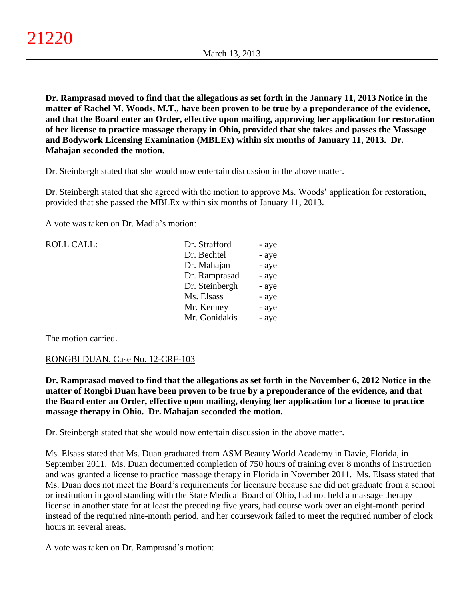**Dr. Ramprasad moved to find that the allegations as set forth in the January 11, 2013 Notice in the matter of Rachel M. Woods, M.T., have been proven to be true by a preponderance of the evidence, and that the Board enter an Order, effective upon mailing, approving her application for restoration of her license to practice massage therapy in Ohio, provided that she takes and passes the Massage and Bodywork Licensing Examination (MBLEx) within six months of January 11, 2013. Dr. Mahajan seconded the motion.**

Dr. Steinbergh stated that she would now entertain discussion in the above matter.

Dr. Steinbergh stated that she agreed with the motion to approve Ms. Woods' application for restoration, provided that she passed the MBLEx within six months of January 11, 2013.

A vote was taken on Dr. Madia's motion:

| <b>ROLL CALL:</b> | Dr. Strafford  | - aye |
|-------------------|----------------|-------|
|                   | Dr. Bechtel    | - aye |
|                   | Dr. Mahajan    | - aye |
|                   | Dr. Ramprasad  | - aye |
|                   | Dr. Steinbergh | - aye |
|                   | Ms. Elsass     | - aye |
|                   | Mr. Kenney     | - aye |
|                   | Mr. Gonidakis  | - aye |
|                   |                |       |

The motion carried.

## RONGBI DUAN, Case No. 12-CRF-103

**Dr. Ramprasad moved to find that the allegations as set forth in the November 6, 2012 Notice in the matter of Rongbi Duan have been proven to be true by a preponderance of the evidence, and that the Board enter an Order, effective upon mailing, denying her application for a license to practice massage therapy in Ohio. Dr. Mahajan seconded the motion.**

Dr. Steinbergh stated that she would now entertain discussion in the above matter.

Ms. Elsass stated that Ms. Duan graduated from ASM Beauty World Academy in Davie, Florida, in September 2011. Ms. Duan documented completion of 750 hours of training over 8 months of instruction and was granted a license to practice massage therapy in Florida in November 2011. Ms. Elsass stated that Ms. Duan does not meet the Board's requirements for licensure because she did not graduate from a school or institution in good standing with the State Medical Board of Ohio, had not held a massage therapy license in another state for at least the preceding five years, had course work over an eight-month period instead of the required nine-month period, and her coursework failed to meet the required number of clock hours in several areas.

A vote was taken on Dr. Ramprasad's motion: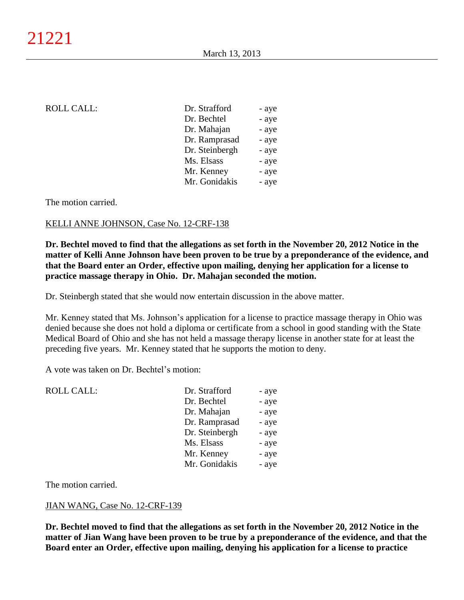| <b>ROLL CALL:</b> | Dr. Strafford  | - aye |
|-------------------|----------------|-------|
|                   | Dr. Bechtel    | - aye |
|                   | Dr. Mahajan    | - aye |
|                   | Dr. Ramprasad  | - aye |
|                   | Dr. Steinbergh | - aye |
|                   | Ms. Elsass     | - aye |
|                   | Mr. Kenney     | - aye |
|                   | Mr. Gonidakis  | - aye |
|                   |                |       |

### The motion carried.

## KELLI ANNE JOHNSON, Case No. 12-CRF-138

**Dr. Bechtel moved to find that the allegations as set forth in the November 20, 2012 Notice in the matter of Kelli Anne Johnson have been proven to be true by a preponderance of the evidence, and that the Board enter an Order, effective upon mailing, denying her application for a license to practice massage therapy in Ohio. Dr. Mahajan seconded the motion.**

Dr. Steinbergh stated that she would now entertain discussion in the above matter.

Mr. Kenney stated that Ms. Johnson's application for a license to practice massage therapy in Ohio was denied because she does not hold a diploma or certificate from a school in good standing with the State Medical Board of Ohio and she has not held a massage therapy license in another state for at least the preceding five years. Mr. Kenney stated that he supports the motion to deny.

A vote was taken on Dr. Bechtel's motion:

| Dr. Strafford  | - aye |
|----------------|-------|
| Dr. Bechtel    | - aye |
| Dr. Mahajan    | - aye |
| Dr. Ramprasad  | - aye |
| Dr. Steinbergh | - aye |
| Ms. Elsass     | - aye |
| Mr. Kenney     | - aye |
| Mr. Gonidakis  | - aye |
|                |       |

The motion carried.

## JIAN WANG, Case No. 12-CRF-139

**Dr. Bechtel moved to find that the allegations as set forth in the November 20, 2012 Notice in the matter of Jian Wang have been proven to be true by a preponderance of the evidence, and that the Board enter an Order, effective upon mailing, denying his application for a license to practice**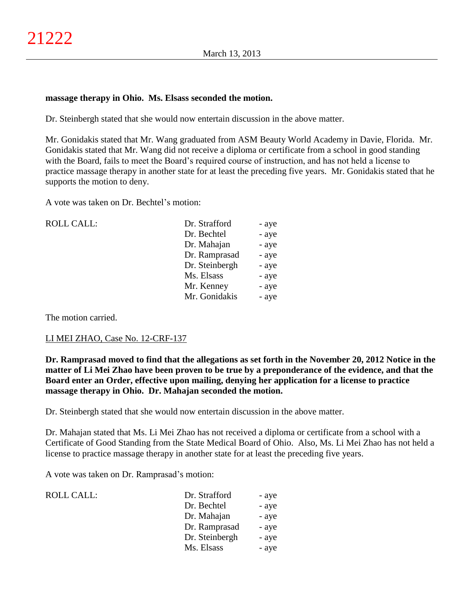### **massage therapy in Ohio. Ms. Elsass seconded the motion.**

Dr. Steinbergh stated that she would now entertain discussion in the above matter.

Mr. Gonidakis stated that Mr. Wang graduated from ASM Beauty World Academy in Davie, Florida. Mr. Gonidakis stated that Mr. Wang did not receive a diploma or certificate from a school in good standing with the Board, fails to meet the Board's required course of instruction, and has not held a license to practice massage therapy in another state for at least the preceding five years. Mr. Gonidakis stated that he supports the motion to deny.

A vote was taken on Dr. Bechtel's motion:

| <b>ROLL CALL:</b> | Dr. Strafford  | - aye |
|-------------------|----------------|-------|
|                   | Dr. Bechtel    | - aye |
|                   | Dr. Mahajan    | - aye |
|                   | Dr. Ramprasad  | - aye |
|                   | Dr. Steinbergh | - aye |
|                   | Ms. Elsass     | - aye |
|                   | Mr. Kenney     | - aye |
|                   | Mr. Gonidakis  | - aye |
|                   |                |       |

The motion carried.

## LI MEI ZHAO, Case No. 12-CRF-137

**Dr. Ramprasad moved to find that the allegations as set forth in the November 20, 2012 Notice in the matter of Li Mei Zhao have been proven to be true by a preponderance of the evidence, and that the Board enter an Order, effective upon mailing, denying her application for a license to practice massage therapy in Ohio. Dr. Mahajan seconded the motion.**

Dr. Steinbergh stated that she would now entertain discussion in the above matter.

Dr. Mahajan stated that Ms. Li Mei Zhao has not received a diploma or certificate from a school with a Certificate of Good Standing from the State Medical Board of Ohio. Also, Ms. Li Mei Zhao has not held a license to practice massage therapy in another state for at least the preceding five years.

A vote was taken on Dr. Ramprasad's motion:

| ROLL CALL: | Dr. Strafford  | - aye |
|------------|----------------|-------|
|            | Dr. Bechtel    | - aye |
|            | Dr. Mahajan    | - aye |
|            | Dr. Ramprasad  | - aye |
|            | Dr. Steinbergh | - aye |
|            | Ms. Elsass     | - aye |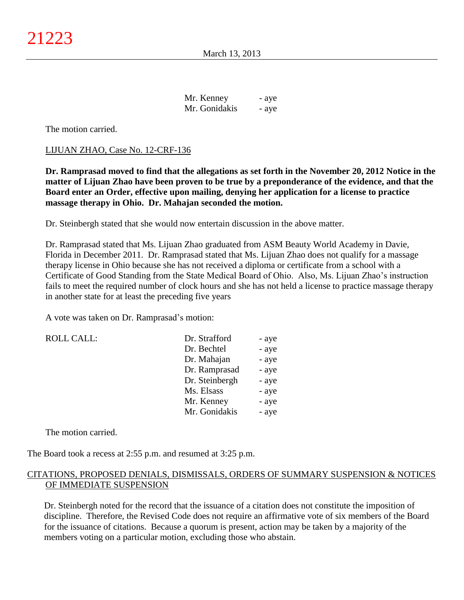| Mr. Kenney    | - aye |
|---------------|-------|
| Mr. Gonidakis | - aye |

The motion carried.

#### LIJUAN ZHAO, Case No. 12-CRF-136

**Dr. Ramprasad moved to find that the allegations as set forth in the November 20, 2012 Notice in the matter of Lijuan Zhao have been proven to be true by a preponderance of the evidence, and that the Board enter an Order, effective upon mailing, denying her application for a license to practice massage therapy in Ohio. Dr. Mahajan seconded the motion.**

Dr. Steinbergh stated that she would now entertain discussion in the above matter.

Dr. Ramprasad stated that Ms. Lijuan Zhao graduated from ASM Beauty World Academy in Davie, Florida in December 2011. Dr. Ramprasad stated that Ms. Lijuan Zhao does not qualify for a massage therapy license in Ohio because she has not received a diploma or certificate from a school with a Certificate of Good Standing from the State Medical Board of Ohio. Also, Ms. Lijuan Zhao's instruction fails to meet the required number of clock hours and she has not held a license to practice massage therapy in another state for at least the preceding five years

A vote was taken on Dr. Ramprasad's motion:

| <b>ROLL CALL:</b> | Dr. Strafford  | - aye |
|-------------------|----------------|-------|
|                   | Dr. Bechtel    | - aye |
|                   | Dr. Mahajan    | - aye |
|                   | Dr. Ramprasad  | - aye |
|                   | Dr. Steinbergh | - aye |
|                   | Ms. Elsass     | - aye |
|                   | Mr. Kenney     | - aye |
|                   | Mr. Gonidakis  | - aye |
|                   |                |       |

The motion carried.

The Board took a recess at 2:55 p.m. and resumed at 3:25 p.m.

## CITATIONS, PROPOSED DENIALS, DISMISSALS, ORDERS OF SUMMARY SUSPENSION & NOTICES OF IMMEDIATE SUSPENSION

Dr. Steinbergh noted for the record that the issuance of a citation does not constitute the imposition of discipline. Therefore, the Revised Code does not require an affirmative vote of six members of the Board for the issuance of citations. Because a quorum is present, action may be taken by a majority of the members voting on a particular motion, excluding those who abstain.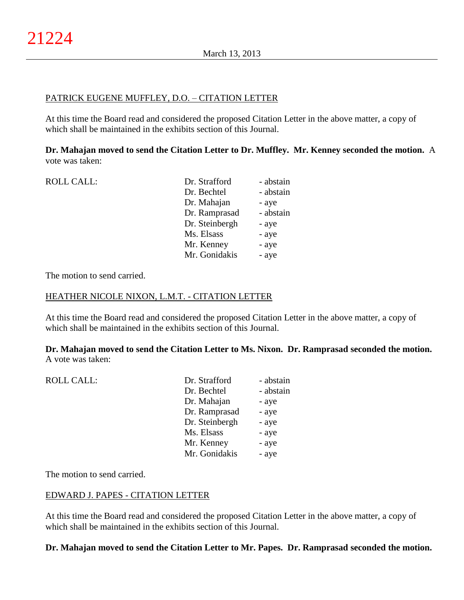## PATRICK EUGENE MUFFLEY, D.O. – CITATION LETTER

At this time the Board read and considered the proposed Citation Letter in the above matter, a copy of which shall be maintained in the exhibits section of this Journal.

**Dr. Mahajan moved to send the Citation Letter to Dr. Muffley. Mr. Kenney seconded the motion.** A vote was taken:

| <b>ROLL CALL:</b> | Dr. Strafford  | - abstain |
|-------------------|----------------|-----------|
|                   | Dr. Bechtel    | - abstain |
|                   | Dr. Mahajan    | - aye     |
|                   | Dr. Ramprasad  | - abstain |
|                   | Dr. Steinbergh | - aye     |
|                   | Ms. Elsass     | - aye     |
|                   | Mr. Kenney     | - aye     |
|                   | Mr. Gonidakis  | - aye     |
|                   |                |           |

The motion to send carried.

### HEATHER NICOLE NIXON, L.M.T. - CITATION LETTER

At this time the Board read and considered the proposed Citation Letter in the above matter, a copy of which shall be maintained in the exhibits section of this Journal.

**Dr. Mahajan moved to send the Citation Letter to Ms. Nixon. Dr. Ramprasad seconded the motion.** A vote was taken:

| <b>ROLL CALL:</b> | Dr. Strafford  | - abstain |
|-------------------|----------------|-----------|
|                   | Dr. Bechtel    | - abstain |
|                   | Dr. Mahajan    | - aye     |
|                   | Dr. Ramprasad  | - aye     |
|                   | Dr. Steinbergh | - aye     |
|                   | Ms. Elsass     | - aye     |
|                   | Mr. Kenney     | - aye     |
|                   | Mr. Gonidakis  | - aye     |
|                   |                |           |

The motion to send carried.

## EDWARD J. PAPES - CITATION LETTER

At this time the Board read and considered the proposed Citation Letter in the above matter, a copy of which shall be maintained in the exhibits section of this Journal.

## **Dr. Mahajan moved to send the Citation Letter to Mr. Papes. Dr. Ramprasad seconded the motion.**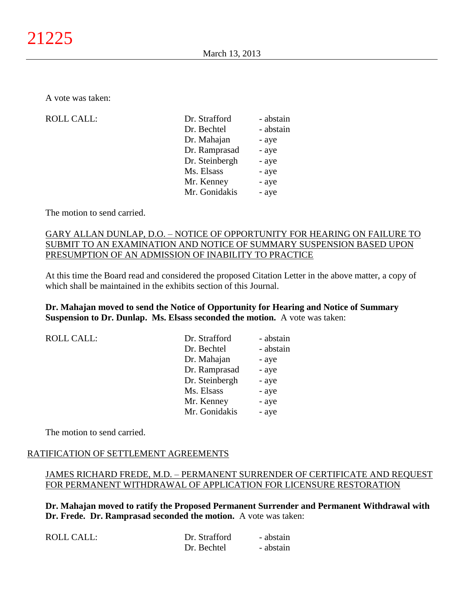A vote was taken:

| <b>ROLL CALL:</b> | Dr. Strafford  | - abstain |
|-------------------|----------------|-----------|
|                   | Dr. Bechtel    | - abstain |
|                   | Dr. Mahajan    | - aye     |
|                   | Dr. Ramprasad  | - aye     |
|                   | Dr. Steinbergh | - aye     |
|                   | Ms. Elsass     | - aye     |
|                   | Mr. Kenney     | - aye     |
|                   | Mr. Gonidakis  | - aye     |
|                   |                |           |

The motion to send carried.

## GARY ALLAN DUNLAP, D.O. – NOTICE OF OPPORTUNITY FOR HEARING ON FAILURE TO SUBMIT TO AN EXAMINATION AND NOTICE OF SUMMARY SUSPENSION BASED UPON PRESUMPTION OF AN ADMISSION OF INABILITY TO PRACTICE

At this time the Board read and considered the proposed Citation Letter in the above matter, a copy of which shall be maintained in the exhibits section of this Journal.

## **Dr. Mahajan moved to send the Notice of Opportunity for Hearing and Notice of Summary Suspension to Dr. Dunlap. Ms. Elsass seconded the motion.** A vote was taken:

| <b>ROLL CALL:</b> | Dr. Strafford  | - abstain |
|-------------------|----------------|-----------|
|                   | Dr. Bechtel    | - abstain |
|                   | Dr. Mahajan    | - aye     |
|                   | Dr. Ramprasad  | - aye     |
|                   | Dr. Steinbergh | - aye     |
|                   | Ms. Elsass     | - aye     |
|                   | Mr. Kenney     | - aye     |
|                   | Mr. Gonidakis  | - aye     |
|                   |                |           |

The motion to send carried.

## RATIFICATION OF SETTLEMENT AGREEMENTS

# JAMES RICHARD FREDE, M.D. – PERMANENT SURRENDER OF CERTIFICATE AND REQUEST FOR PERMANENT WITHDRAWAL OF APPLICATION FOR LICENSURE RESTORATION

**Dr. Mahajan moved to ratify the Proposed Permanent Surrender and Permanent Withdrawal with Dr. Frede. Dr. Ramprasad seconded the motion.** A vote was taken:

| <b>ROLL CALL:</b> | Dr. Strafford | - abstain |
|-------------------|---------------|-----------|
|                   | Dr. Bechtel   | - abstain |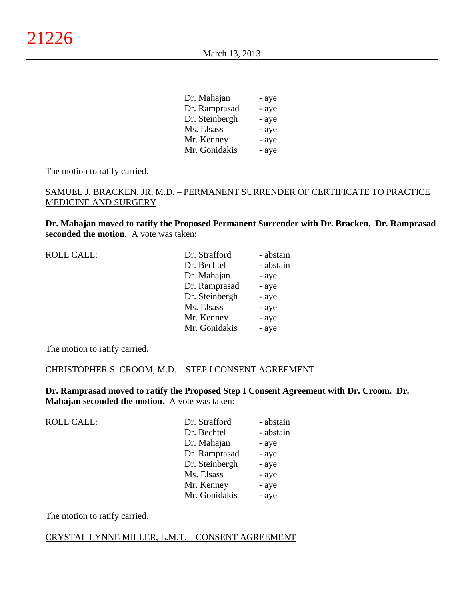| Dr. Mahajan    | - aye |
|----------------|-------|
| Dr. Ramprasad  | - aye |
| Dr. Steinbergh | - aye |
| Ms. Elsass     | - aye |
| Mr. Kenney     | - aye |
| Mr. Gonidakis  | - aye |

The motion to ratify carried.

## SAMUEL J. BRACKEN, JR, M.D. – PERMANENT SURRENDER OF CERTIFICATE TO PRACTICE MEDICINE AND SURGERY

**Dr. Mahajan moved to ratify the Proposed Permanent Surrender with Dr. Bracken. Dr. Ramprasad seconded the motion.** A vote was taken:

| <b>ROLL CALL:</b> | Dr. Strafford  | - abstain |
|-------------------|----------------|-----------|
|                   | Dr. Bechtel    | - abstain |
|                   | Dr. Mahajan    | - aye     |
|                   | Dr. Ramprasad  | - aye     |
|                   | Dr. Steinbergh | - aye     |
|                   | Ms. Elsass     | - aye     |
|                   | Mr. Kenney     | - aye     |
|                   | Mr. Gonidakis  | - aye     |
|                   |                |           |

The motion to ratify carried.

#### CHRISTOPHER S. CROOM, M.D. – STEP I CONSENT AGREEMENT

**Dr. Ramprasad moved to ratify the Proposed Step I Consent Agreement with Dr. Croom. Dr. Mahajan seconded the motion.** A vote was taken:

| <b>ROLL CALL:</b> | Dr. Strafford  | - abstain |
|-------------------|----------------|-----------|
|                   | Dr. Bechtel    | - abstain |
|                   | Dr. Mahajan    | - aye     |
|                   | Dr. Ramprasad  | - aye     |
|                   | Dr. Steinbergh | - aye     |
|                   | Ms. Elsass     | - aye     |
|                   | Mr. Kenney     | - aye     |
|                   | Mr. Gonidakis  | - aye     |
|                   |                |           |

The motion to ratify carried.

#### CRYSTAL LYNNE MILLER, L.M.T. – CONSENT AGREEMENT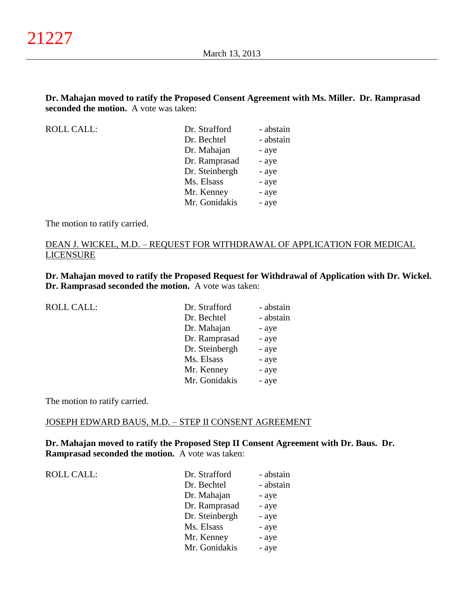## **Dr. Mahajan moved to ratify the Proposed Consent Agreement with Ms. Miller. Dr. Ramprasad seconded the motion.** A vote was taken:

ROLL CALL:

| Dr. Strafford  | - abstain |
|----------------|-----------|
| Dr. Bechtel    | - abstain |
| Dr. Mahajan    | - aye     |
| Dr. Ramprasad  | - aye     |
| Dr. Steinbergh | - aye     |
| Ms. Elsass     | - aye     |
| Mr. Kenney     | - aye     |
| Mr. Gonidakis  | - aye     |

The motion to ratify carried.

## DEAN J. WICKEL, M.D. – REQUEST FOR WITHDRAWAL OF APPLICATION FOR MEDICAL LICENSURE

**Dr. Mahajan moved to ratify the Proposed Request for Withdrawal of Application with Dr. Wickel. Dr. Ramprasad seconded the motion.** A vote was taken:

| <b>ROLL CALL:</b> | Dr. Strafford  | - abstain |
|-------------------|----------------|-----------|
|                   | Dr. Bechtel    | - abstain |
|                   | Dr. Mahajan    | - aye     |
|                   | Dr. Ramprasad  | - aye     |
|                   | Dr. Steinbergh | - aye     |
|                   | Ms. Elsass     | - aye     |
|                   | Mr. Kenney     | - aye     |
|                   | Mr. Gonidakis  | - aye     |

The motion to ratify carried.

### JOSEPH EDWARD BAUS, M.D. – STEP II CONSENT AGREEMENT

**Dr. Mahajan moved to ratify the Proposed Step II Consent Agreement with Dr. Baus. Dr. Ramprasad seconded the motion.** A vote was taken:

| <b>ROLL CALL:</b> | Dr. Strafford  | - abstain |
|-------------------|----------------|-----------|
|                   | Dr. Bechtel    | - abstain |
|                   | Dr. Mahajan    | - aye     |
|                   | Dr. Ramprasad  | - aye     |
|                   | Dr. Steinbergh | - aye     |
|                   | Ms. Elsass     | - aye     |
|                   | Mr. Kenney     | - aye     |
|                   | Mr. Gonidakis  | - aye     |
|                   |                |           |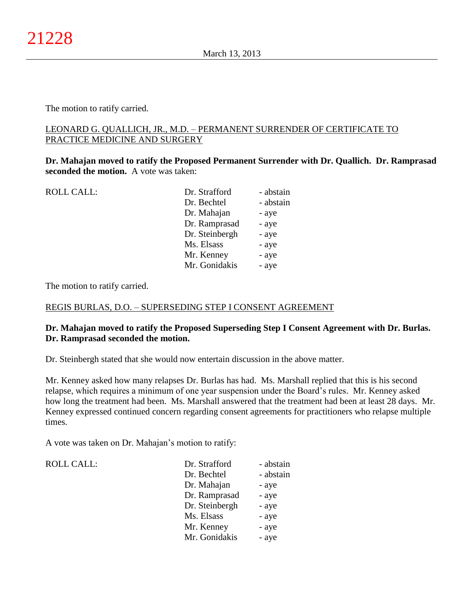The motion to ratify carried.

## LEONARD G. QUALLICH, JR., M.D. – PERMANENT SURRENDER OF CERTIFICATE TO PRACTICE MEDICINE AND SURGERY

**Dr. Mahajan moved to ratify the Proposed Permanent Surrender with Dr. Quallich. Dr. Ramprasad seconded the motion.** A vote was taken:

| <b>ROLL CALL:</b> | Dr. Strafford  | - abstain |
|-------------------|----------------|-----------|
|                   | Dr. Bechtel    | - abstain |
|                   | Dr. Mahajan    | - aye     |
|                   | Dr. Ramprasad  | - aye     |
|                   | Dr. Steinbergh | - aye     |
|                   | Ms. Elsass     | - aye     |
|                   | Mr. Kenney     | - aye     |
|                   | Mr. Gonidakis  | - aye     |
|                   |                |           |

The motion to ratify carried.

## REGIS BURLAS, D.O. – SUPERSEDING STEP I CONSENT AGREEMENT

## **Dr. Mahajan moved to ratify the Proposed Superseding Step I Consent Agreement with Dr. Burlas. Dr. Ramprasad seconded the motion.**

Dr. Steinbergh stated that she would now entertain discussion in the above matter.

Mr. Kenney asked how many relapses Dr. Burlas has had. Ms. Marshall replied that this is his second relapse, which requires a minimum of one year suspension under the Board's rules. Mr. Kenney asked how long the treatment had been. Ms. Marshall answered that the treatment had been at least 28 days. Mr. Kenney expressed continued concern regarding consent agreements for practitioners who relapse multiple times.

A vote was taken on Dr. Mahajan's motion to ratify:

ROLL CALL:

| Dr. Strafford  | - abstain |
|----------------|-----------|
| Dr. Bechtel    | - abstain |
| Dr. Mahajan    | - aye     |
| Dr. Ramprasad  | - aye     |
| Dr. Steinbergh | - aye     |
| Ms. Elsass     | - aye     |
| Mr. Kenney     | - aye     |
| Mr. Gonidakis  | - aye     |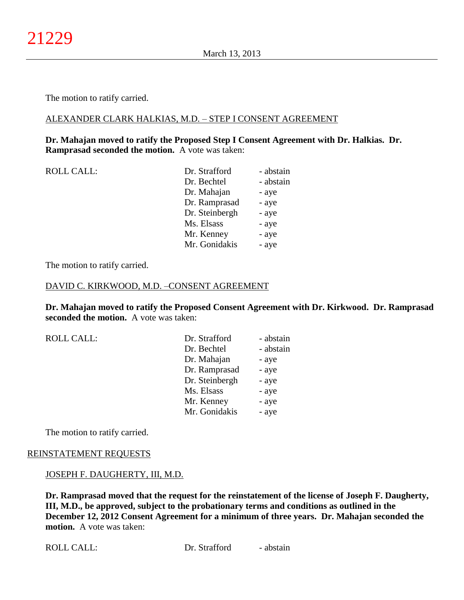The motion to ratify carried.

### ALEXANDER CLARK HALKIAS, M.D. – STEP I CONSENT AGREEMENT

### **Dr. Mahajan moved to ratify the Proposed Step I Consent Agreement with Dr. Halkias. Dr. Ramprasad seconded the motion.** A vote was taken:

| <b>ROLL CALL:</b> |  |
|-------------------|--|
|-------------------|--|

| <b>ROLL CALL:</b> | Dr. Strafford  | - abstain |
|-------------------|----------------|-----------|
|                   | Dr. Bechtel    | - abstain |
|                   | Dr. Mahajan    | - aye     |
|                   | Dr. Ramprasad  | - aye     |
|                   | Dr. Steinbergh | - aye     |
|                   | Ms. Elsass     | - aye     |
|                   | Mr. Kenney     | - aye     |
|                   | Mr. Gonidakis  | - aye     |
|                   |                |           |

The motion to ratify carried.

#### DAVID C. KIRKWOOD, M.D. –CONSENT AGREEMENT

**Dr. Mahajan moved to ratify the Proposed Consent Agreement with Dr. Kirkwood. Dr. Ramprasad seconded the motion.** A vote was taken:

ROLL CALL:

| Dr. Strafford  | - abstain |
|----------------|-----------|
| Dr. Bechtel    | - abstain |
| Dr. Mahajan    | - aye     |
| Dr. Ramprasad  | - aye     |
| Dr. Steinbergh | - aye     |
| Ms. Elsass     | - aye     |
| Mr. Kenney     | - aye     |
| Mr. Gonidakis  | - aye     |

The motion to ratify carried.

### REINSTATEMENT REQUESTS

#### JOSEPH F. DAUGHERTY, III, M.D.

**Dr. Ramprasad moved that the request for the reinstatement of the license of Joseph F. Daugherty, III, M.D., be approved, subject to the probationary terms and conditions as outlined in the December 12, 2012 Consent Agreement for a minimum of three years. Dr. Mahajan seconded the motion.** A vote was taken: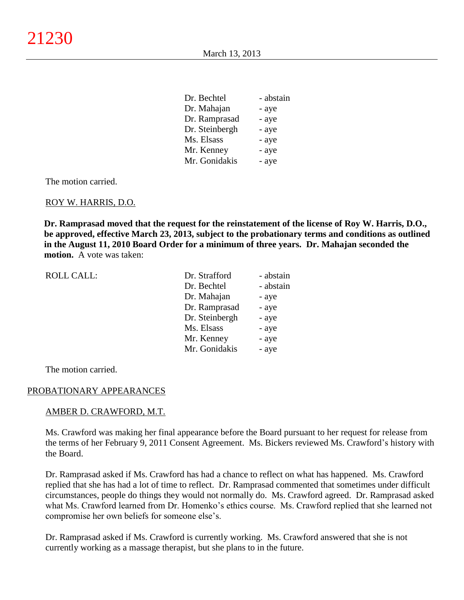| Dr. Bechtel    | - abstain |
|----------------|-----------|
| Dr. Mahajan    | - aye     |
| Dr. Ramprasad  | - aye     |
| Dr. Steinbergh | - aye     |
| Ms. Elsass     | - aye     |
| Mr. Kenney     | - aye     |
| Mr. Gonidakis  | - aye     |
|                |           |

The motion carried.

#### ROY W. HARRIS, D.O.

**Dr. Ramprasad moved that the request for the reinstatement of the license of Roy W. Harris, D.O., be approved, effective March 23, 2013, subject to the probationary terms and conditions as outlined in the August 11, 2010 Board Order for a minimum of three years. Dr. Mahajan seconded the motion.** A vote was taken:

| <b>ROLL CALL:</b> | Dr. Strafford  | - abstain |
|-------------------|----------------|-----------|
|                   | Dr. Bechtel    | - abstain |
|                   | Dr. Mahajan    | - aye     |
|                   | Dr. Ramprasad  | - aye     |
|                   | Dr. Steinbergh | - aye     |
|                   | Ms. Elsass     | - aye     |
|                   | Mr. Kenney     | - aye     |
|                   | Mr. Gonidakis  | - aye     |
|                   |                |           |

The motion carried.

#### PROBATIONARY APPEARANCES

#### AMBER D. CRAWFORD, M.T.

Ms. Crawford was making her final appearance before the Board pursuant to her request for release from the terms of her February 9, 2011 Consent Agreement. Ms. Bickers reviewed Ms. Crawford's history with the Board.

Dr. Ramprasad asked if Ms. Crawford has had a chance to reflect on what has happened. Ms. Crawford replied that she has had a lot of time to reflect. Dr. Ramprasad commented that sometimes under difficult circumstances, people do things they would not normally do. Ms. Crawford agreed. Dr. Ramprasad asked what Ms. Crawford learned from Dr. Homenko's ethics course. Ms. Crawford replied that she learned not compromise her own beliefs for someone else's.

Dr. Ramprasad asked if Ms. Crawford is currently working. Ms. Crawford answered that she is not currently working as a massage therapist, but she plans to in the future.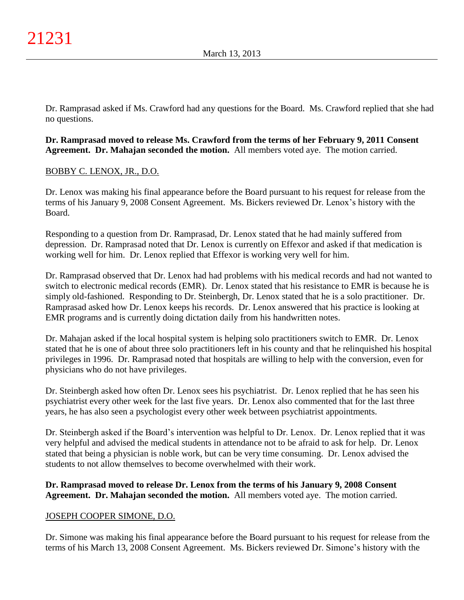Dr. Ramprasad asked if Ms. Crawford had any questions for the Board. Ms. Crawford replied that she had no questions.

## **Dr. Ramprasad moved to release Ms. Crawford from the terms of her February 9, 2011 Consent Agreement. Dr. Mahajan seconded the motion.** All members voted aye. The motion carried.

# BOBBY C. LENOX, JR., D.O.

Dr. Lenox was making his final appearance before the Board pursuant to his request for release from the terms of his January 9, 2008 Consent Agreement. Ms. Bickers reviewed Dr. Lenox's history with the Board.

Responding to a question from Dr. Ramprasad, Dr. Lenox stated that he had mainly suffered from depression. Dr. Ramprasad noted that Dr. Lenox is currently on Effexor and asked if that medication is working well for him. Dr. Lenox replied that Effexor is working very well for him.

Dr. Ramprasad observed that Dr. Lenox had had problems with his medical records and had not wanted to switch to electronic medical records (EMR). Dr. Lenox stated that his resistance to EMR is because he is simply old-fashioned. Responding to Dr. Steinbergh, Dr. Lenox stated that he is a solo practitioner. Dr. Ramprasad asked how Dr. Lenox keeps his records. Dr. Lenox answered that his practice is looking at EMR programs and is currently doing dictation daily from his handwritten notes.

Dr. Mahajan asked if the local hospital system is helping solo practitioners switch to EMR. Dr. Lenox stated that he is one of about three solo practitioners left in his county and that he relinquished his hospital privileges in 1996. Dr. Ramprasad noted that hospitals are willing to help with the conversion, even for physicians who do not have privileges.

Dr. Steinbergh asked how often Dr. Lenox sees his psychiatrist. Dr. Lenox replied that he has seen his psychiatrist every other week for the last five years. Dr. Lenox also commented that for the last three years, he has also seen a psychologist every other week between psychiatrist appointments.

Dr. Steinbergh asked if the Board's intervention was helpful to Dr. Lenox. Dr. Lenox replied that it was very helpful and advised the medical students in attendance not to be afraid to ask for help. Dr. Lenox stated that being a physician is noble work, but can be very time consuming. Dr. Lenox advised the students to not allow themselves to become overwhelmed with their work.

# **Dr. Ramprasad moved to release Dr. Lenox from the terms of his January 9, 2008 Consent Agreement. Dr. Mahajan seconded the motion.** All members voted aye. The motion carried.

# JOSEPH COOPER SIMONE, D.O.

Dr. Simone was making his final appearance before the Board pursuant to his request for release from the terms of his March 13, 2008 Consent Agreement. Ms. Bickers reviewed Dr. Simone's history with the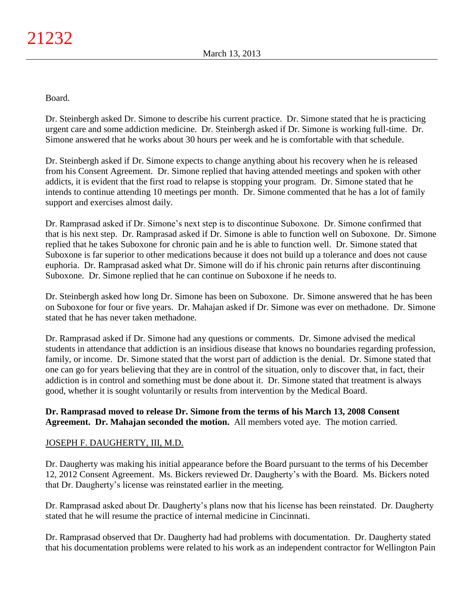Board.

Dr. Steinbergh asked Dr. Simone to describe his current practice. Dr. Simone stated that he is practicing urgent care and some addiction medicine. Dr. Steinbergh asked if Dr. Simone is working full-time. Dr. Simone answered that he works about 30 hours per week and he is comfortable with that schedule.

Dr. Steinbergh asked if Dr. Simone expects to change anything about his recovery when he is released from his Consent Agreement. Dr. Simone replied that having attended meetings and spoken with other addicts, it is evident that the first road to relapse is stopping your program. Dr. Simone stated that he intends to continue attending 10 meetings per month. Dr. Simone commented that he has a lot of family support and exercises almost daily.

Dr. Ramprasad asked if Dr. Simone's next step is to discontinue Suboxone. Dr. Simone confirmed that that is his next step. Dr. Ramprasad asked if Dr. Simone is able to function well on Suboxone. Dr. Simone replied that he takes Suboxone for chronic pain and he is able to function well. Dr. Simone stated that Suboxone is far superior to other medications because it does not build up a tolerance and does not cause euphoria. Dr. Ramprasad asked what Dr. Simone will do if his chronic pain returns after discontinuing Suboxone. Dr. Simone replied that he can continue on Suboxone if he needs to.

Dr. Steinbergh asked how long Dr. Simone has been on Suboxone. Dr. Simone answered that he has been on Suboxone for four or five years. Dr. Mahajan asked if Dr. Simone was ever on methadone. Dr. Simone stated that he has never taken methadone.

Dr. Ramprasad asked if Dr. Simone had any questions or comments. Dr. Simone advised the medical students in attendance that addiction is an insidious disease that knows no boundaries regarding profession, family, or income. Dr. Simone stated that the worst part of addiction is the denial. Dr. Simone stated that one can go for years believing that they are in control of the situation, only to discover that, in fact, their addiction is in control and something must be done about it. Dr. Simone stated that treatment is always good, whether it is sought voluntarily or results from intervention by the Medical Board.

## **Dr. Ramprasad moved to release Dr. Simone from the terms of his March 13, 2008 Consent Agreement. Dr. Mahajan seconded the motion.** All members voted aye. The motion carried.

# JOSEPH F. DAUGHERTY, III, M.D.

Dr. Daugherty was making his initial appearance before the Board pursuant to the terms of his December 12, 2012 Consent Agreement. Ms. Bickers reviewed Dr. Daugherty's with the Board. Ms. Bickers noted that Dr. Daugherty's license was reinstated earlier in the meeting.

Dr. Ramprasad asked about Dr. Daugherty's plans now that his license has been reinstated. Dr. Daugherty stated that he will resume the practice of internal medicine in Cincinnati.

Dr. Ramprasad observed that Dr. Daugherty had had problems with documentation. Dr. Daugherty stated that his documentation problems were related to his work as an independent contractor for Wellington Pain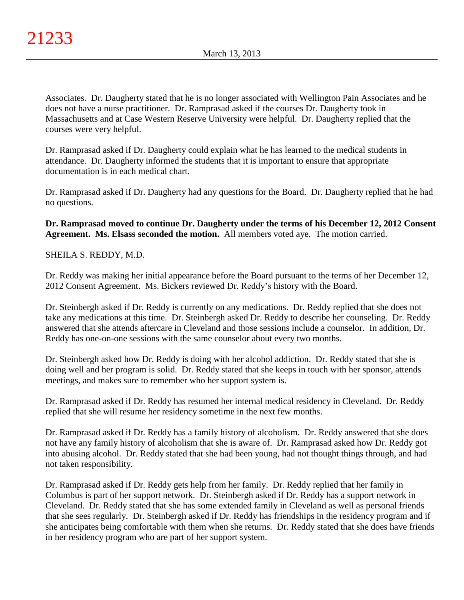Associates. Dr. Daugherty stated that he is no longer associated with Wellington Pain Associates and he does not have a nurse practitioner. Dr. Ramprasad asked if the courses Dr. Daugherty took in Massachusetts and at Case Western Reserve University were helpful. Dr. Daugherty replied that the courses were very helpful.

Dr. Ramprasad asked if Dr. Daugherty could explain what he has learned to the medical students in attendance. Dr. Daugherty informed the students that it is important to ensure that appropriate documentation is in each medical chart.

Dr. Ramprasad asked if Dr. Daugherty had any questions for the Board. Dr. Daugherty replied that he had no questions.

**Dr. Ramprasad moved to continue Dr. Daugherty under the terms of his December 12, 2012 Consent Agreement. Ms. Elsass seconded the motion.** All members voted aye. The motion carried.

## SHEILA S. REDDY, M.D.

Dr. Reddy was making her initial appearance before the Board pursuant to the terms of her December 12, 2012 Consent Agreement. Ms. Bickers reviewed Dr. Reddy's history with the Board.

Dr. Steinbergh asked if Dr. Reddy is currently on any medications. Dr. Reddy replied that she does not take any medications at this time. Dr. Steinbergh asked Dr. Reddy to describe her counseling. Dr. Reddy answered that she attends aftercare in Cleveland and those sessions include a counselor. In addition, Dr. Reddy has one-on-one sessions with the same counselor about every two months.

Dr. Steinbergh asked how Dr. Reddy is doing with her alcohol addiction. Dr. Reddy stated that she is doing well and her program is solid. Dr. Reddy stated that she keeps in touch with her sponsor, attends meetings, and makes sure to remember who her support system is.

Dr. Ramprasad asked if Dr. Reddy has resumed her internal medical residency in Cleveland. Dr. Reddy replied that she will resume her residency sometime in the next few months.

Dr. Ramprasad asked if Dr. Reddy has a family history of alcoholism. Dr. Reddy answered that she does not have any family history of alcoholism that she is aware of. Dr. Ramprasad asked how Dr. Reddy got into abusing alcohol. Dr. Reddy stated that she had been young, had not thought things through, and had not taken responsibility.

Dr. Ramprasad asked if Dr. Reddy gets help from her family. Dr. Reddy replied that her family in Columbus is part of her support network. Dr. Steinbergh asked if Dr. Reddy has a support network in Cleveland. Dr. Reddy stated that she has some extended family in Cleveland as well as personal friends that she sees regularly. Dr. Steinbergh asked if Dr. Reddy has friendships in the residency program and if she anticipates being comfortable with them when she returns. Dr. Reddy stated that she does have friends in her residency program who are part of her support system.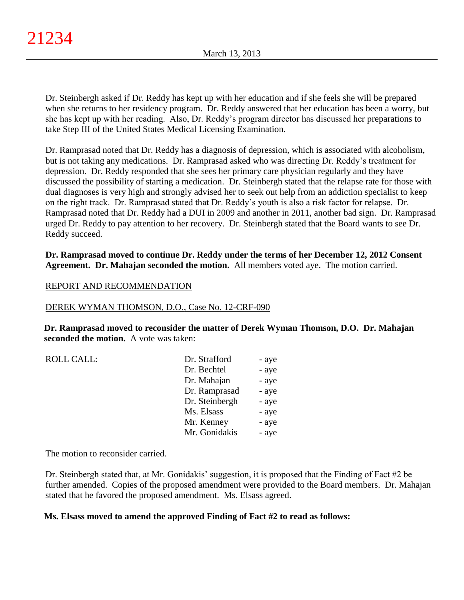Dr. Steinbergh asked if Dr. Reddy has kept up with her education and if she feels she will be prepared when she returns to her residency program. Dr. Reddy answered that her education has been a worry, but she has kept up with her reading. Also, Dr. Reddy's program director has discussed her preparations to take Step III of the United States Medical Licensing Examination.

Dr. Ramprasad noted that Dr. Reddy has a diagnosis of depression, which is associated with alcoholism, but is not taking any medications. Dr. Ramprasad asked who was directing Dr. Reddy's treatment for depression. Dr. Reddy responded that she sees her primary care physician regularly and they have discussed the possibility of starting a medication. Dr. Steinbergh stated that the relapse rate for those with dual diagnoses is very high and strongly advised her to seek out help from an addiction specialist to keep on the right track. Dr. Ramprasad stated that Dr. Reddy's youth is also a risk factor for relapse. Dr. Ramprasad noted that Dr. Reddy had a DUI in 2009 and another in 2011, another bad sign. Dr. Ramprasad urged Dr. Reddy to pay attention to her recovery. Dr. Steinbergh stated that the Board wants to see Dr. Reddy succeed.

**Dr. Ramprasad moved to continue Dr. Reddy under the terms of her December 12, 2012 Consent Agreement. Dr. Mahajan seconded the motion.** All members voted aye. The motion carried.

## REPORT AND RECOMMENDATION

#### DEREK WYMAN THOMSON, D.O., Case No. 12-CRF-090

**Dr. Ramprasad moved to reconsider the matter of Derek Wyman Thomson, D.O. Dr. Mahajan seconded the motion.** A vote was taken:

ROLL CALL:

| Dr. Strafford  | - aye |
|----------------|-------|
| Dr. Bechtel    | - aye |
| Dr. Mahajan    | - aye |
| Dr. Ramprasad  | - aye |
| Dr. Steinbergh | - aye |
| Ms. Elsass     | - aye |
| Mr. Kenney     | - aye |
| Mr. Gonidakis  | - aye |

The motion to reconsider carried.

Dr. Steinbergh stated that, at Mr. Gonidakis' suggestion, it is proposed that the Finding of Fact #2 be further amended. Copies of the proposed amendment were provided to the Board members. Dr. Mahajan stated that he favored the proposed amendment. Ms. Elsass agreed.

## **Ms. Elsass moved to amend the approved Finding of Fact #2 to read as follows:**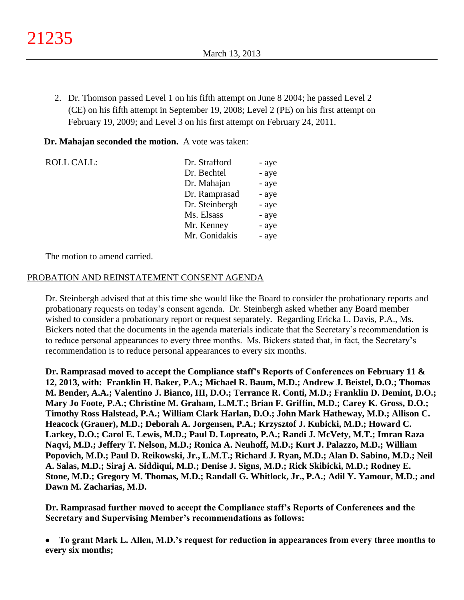2. Dr. Thomson passed Level 1 on his fifth attempt on June 8 2004; he passed Level 2 (CE) on his fifth attempt in September 19, 2008; Level 2 (PE) on his first attempt on February 19, 2009; and Level 3 on his first attempt on February 24, 2011.

### **Dr. Mahajan seconded the motion.** A vote was taken:

| <b>ROLL CALL:</b> | Dr. Strafford  | - aye |
|-------------------|----------------|-------|
|                   | Dr. Bechtel    | - aye |
|                   | Dr. Mahajan    | - aye |
|                   | Dr. Ramprasad  | - aye |
|                   | Dr. Steinbergh | - aye |
|                   | Ms. Elsass     | - aye |
|                   | Mr. Kenney     | - aye |
|                   | Mr. Gonidakis  | - aye |

The motion to amend carried.

### PROBATION AND REINSTATEMENT CONSENT AGENDA

Dr. Steinbergh advised that at this time she would like the Board to consider the probationary reports and probationary requests on today's consent agenda. Dr. Steinbergh asked whether any Board member wished to consider a probationary report or request separately. Regarding Ericka L. Davis, P.A., Ms. Bickers noted that the documents in the agenda materials indicate that the Secretary's recommendation is to reduce personal appearances to every three months. Ms. Bickers stated that, in fact, the Secretary's recommendation is to reduce personal appearances to every six months.

**Dr. Ramprasad moved to accept the Compliance staff's Reports of Conferences on February 11 & 12, 2013, with: Franklin H. Baker, P.A.; Michael R. Baum, M.D.; Andrew J. Beistel, D.O.; Thomas M. Bender, A.A.; Valentino J. Bianco, III, D.O.; Terrance R. Conti, M.D.; Franklin D. Demint, D.O.; Mary Jo Foote, P.A.; Christine M. Graham, L.M.T.; Brian F. Griffin, M.D.; Carey K. Gross, D.O.; Timothy Ross Halstead, P.A.; William Clark Harlan, D.O.; John Mark Hatheway, M.D.; Allison C. Heacock (Grauer), M.D.; Deborah A. Jorgensen, P.A.; Krzysztof J. Kubicki, M.D.; Howard C. Larkey, D.O.; Carol E. Lewis, M.D.; Paul D. Lopreato, P.A.; Randi J. McVety, M.T.; Imran Raza Naqvi, M.D.; Jeffery T. Nelson, M.D.; Ronica A. Neuhoff, M.D.; Kurt J. Palazzo, M.D.; William Popovich, M.D.; Paul D. Reikowski, Jr., L.M.T.; Richard J. Ryan, M.D.; Alan D. Sabino, M.D.; Neil A. Salas, M.D.; Siraj A. Siddiqui, M.D.; Denise J. Signs, M.D.; Rick Skibicki, M.D.; Rodney E. Stone, M.D.; Gregory M. Thomas, M.D.; Randall G. Whitlock, Jr., P.A.; Adil Y. Yamour, M.D.; and Dawn M. Zacharias, M.D.**

**Dr. Ramprasad further moved to accept the Compliance staff's Reports of Conferences and the Secretary and Supervising Member's recommendations as follows:**

**To grant Mark L. Allen, M.D.'s request for reduction in appearances from every three months to every six months;**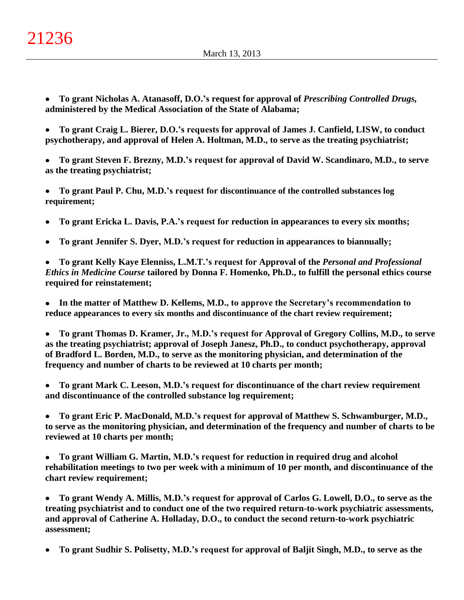- **To grant Nicholas A. Atanasoff, D.O.'s request for approval of** *Prescribing Controlled Drugs,*   $\bullet$ **administered by the Medical Association of the State of Alabama;**
- **To grant Craig L. Bierer, D.O.'s requests for approval of James J. Canfield, LISW, to conduct psychotherapy, and approval of Helen A. Holtman, M.D., to serve as the treating psychiatrist;**
- **To grant Steven F. Brezny, M.D.'s request for approval of David W. Scandinaro, M.D., to serve as the treating psychiatrist;**
- $\bullet$ **To grant Paul P. Chu, M.D.'s request for discontinuance of the controlled substances log requirement;**
- **To grant Ericka L. Davis, P.A.'s request for reduction in appearances to every six months;**  $\bullet$
- **To grant Jennifer S. Dyer, M.D.'s request for reduction in appearances to biannually;**  $\bullet$

 $\bullet$ **To grant Kelly Kaye Elenniss, L.M.T.'s request for Approval of the** *Personal and Professional Ethics in Medicine Course* **tailored by Donna F. Homenko, Ph.D., to fulfill the personal ethics course required for reinstatement;**

 $\bullet$ **In the matter of Matthew D. Kellems, M.D., to approve the Secretary's recommendation to reduce appearances to every six months and discontinuance of the chart review requirement;**

**To grant Thomas D. Kramer, Jr., M.D.'s request for Approval of Gregory Collins, M.D., to serve as the treating psychiatrist; approval of Joseph Janesz, Ph.D., to conduct psychotherapy, approval of Bradford L. Borden, M.D., to serve as the monitoring physician, and determination of the frequency and number of charts to be reviewed at 10 charts per month;**

- **To grant Mark C. Leeson, M.D.'s request for discontinuance of the chart review requirement**  $\bullet$ **and discontinuance of the controlled substance log requirement;**
- **To grant Eric P. MacDonald, M.D.'s request for approval of Matthew S. Schwamburger, M.D.,**   $\bullet$ **to serve as the monitoring physician, and determination of the frequency and number of charts to be reviewed at 10 charts per month;**
- **To grant William G. Martin, M.D.'s request for reduction in required drug and alcohol**   $\bullet$ **rehabilitation meetings to two per week with a minimum of 10 per month, and discontinuance of the chart review requirement;**
- **To grant Wendy A. Millis, M.D.'s request for approval of Carlos G. Lowell, D.O., to serve as the treating psychiatrist and to conduct one of the two required return-to-work psychiatric assessments, and approval of Catherine A. Holladay, D.O., to conduct the second return-to-work psychiatric assessment;**
- **To grant Sudhir S. Polisetty, M.D.'s request for approval of Baljit Singh, M.D., to serve as the**  $\bullet$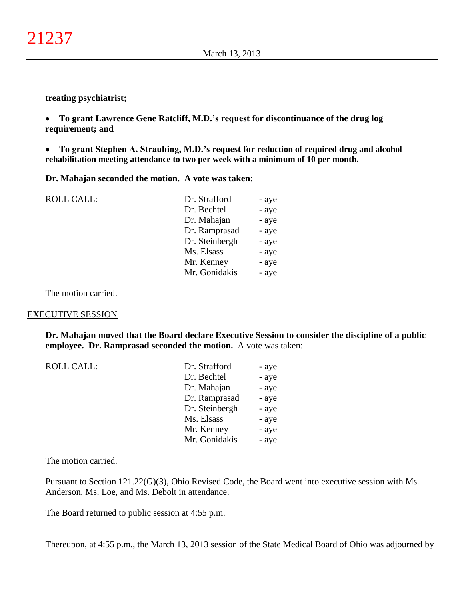**treating psychiatrist;**

 $\bullet$ **To grant Lawrence Gene Ratcliff, M.D.'s request for discontinuance of the drug log requirement; and**

 $\bullet$ **To grant Stephen A. Straubing, M.D.'s request for reduction of required drug and alcohol rehabilitation meeting attendance to two per week with a minimum of 10 per month.**

**Dr. Mahajan seconded the motion. A vote was taken**:

ROLL CALL: Dr. Strafford - ave

| DI. QUAIIVIU   | - ayc |
|----------------|-------|
| Dr. Bechtel    | - aye |
| Dr. Mahajan    | - aye |
| Dr. Ramprasad  | - aye |
| Dr. Steinbergh | - aye |
| Ms. Elsass     | - aye |
| Mr. Kenney     | - aye |
| Mr. Gonidakis  | - aye |
|                |       |

The motion carried.

#### EXECUTIVE SESSION

**Dr. Mahajan moved that the Board declare Executive Session to consider the discipline of a public employee. Dr. Ramprasad seconded the motion.** A vote was taken:

| <b>ROLL CALL:</b> | Dr. Strafford  | - aye |
|-------------------|----------------|-------|
|                   |                |       |
|                   | Dr. Bechtel    | - aye |
|                   | Dr. Mahajan    | - aye |
|                   | Dr. Ramprasad  | - aye |
|                   | Dr. Steinbergh | - aye |
|                   | Ms. Elsass     | - aye |
|                   | Mr. Kenney     | - aye |
|                   | Mr. Gonidakis  | - aye |
|                   |                |       |

The motion carried.

Pursuant to Section 121.22(G)(3), Ohio Revised Code, the Board went into executive session with Ms. Anderson, Ms. Loe, and Ms. Debolt in attendance.

The Board returned to public session at 4:55 p.m.

Thereupon, at 4:55 p.m., the March 13, 2013 session of the State Medical Board of Ohio was adjourned by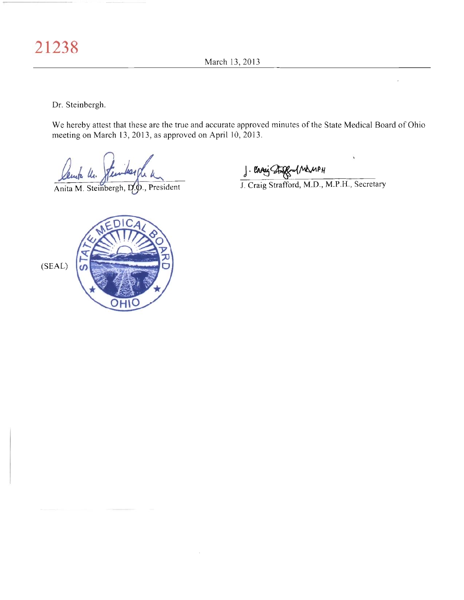March 13, 2013

Dr. Steinbergh.

We hereby attest that these are the true and accurate approved minutes of the State Medical Board of Ohio meeting on March 13, 2013, as approved on April 10, 2013.

mara Un.

Anita M. Steinbergh, D.O., President

J. Canis Street MAMPH<br>J. Craig Strafford, M.D., M.P.H., Secretary

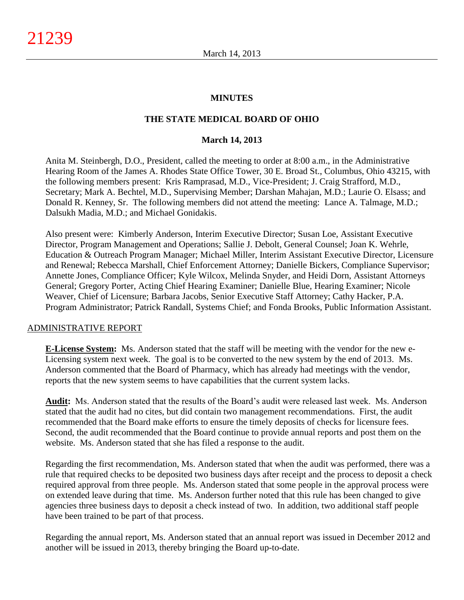### **MINUTES**

### **THE STATE MEDICAL BOARD OF OHIO**

#### **March 14, 2013**

Anita M. Steinbergh, D.O., President, called the meeting to order at 8:00 a.m., in the Administrative Hearing Room of the James A. Rhodes State Office Tower, 30 E. Broad St., Columbus, Ohio 43215, with the following members present: Kris Ramprasad, M.D., Vice-President; J. Craig Strafford, M.D., Secretary; Mark A. Bechtel, M.D., Supervising Member; Darshan Mahajan, M.D.; Laurie O. Elsass; and Donald R. Kenney, Sr. The following members did not attend the meeting: Lance A. Talmage, M.D.; Dalsukh Madia, M.D.; and Michael Gonidakis.

Also present were: Kimberly Anderson, Interim Executive Director; Susan Loe, Assistant Executive Director, Program Management and Operations; Sallie J. Debolt, General Counsel; Joan K. Wehrle, Education & Outreach Program Manager; Michael Miller, Interim Assistant Executive Director, Licensure and Renewal; Rebecca Marshall, Chief Enforcement Attorney; Danielle Bickers, Compliance Supervisor; Annette Jones, Compliance Officer; Kyle Wilcox, Melinda Snyder, and Heidi Dorn, Assistant Attorneys General; Gregory Porter, Acting Chief Hearing Examiner; Danielle Blue, Hearing Examiner; Nicole Weaver, Chief of Licensure; Barbara Jacobs, Senior Executive Staff Attorney; Cathy Hacker, P.A. Program Administrator; Patrick Randall, Systems Chief; and Fonda Brooks, Public Information Assistant.

#### ADMINISTRATIVE REPORT

**E-License System:** Ms. Anderson stated that the staff will be meeting with the vendor for the new e-Licensing system next week. The goal is to be converted to the new system by the end of 2013. Ms. Anderson commented that the Board of Pharmacy, which has already had meetings with the vendor, reports that the new system seems to have capabilities that the current system lacks.

**Audit:** Ms. Anderson stated that the results of the Board's audit were released last week. Ms. Anderson stated that the audit had no cites, but did contain two management recommendations. First, the audit recommended that the Board make efforts to ensure the timely deposits of checks for licensure fees. Second, the audit recommended that the Board continue to provide annual reports and post them on the website. Ms. Anderson stated that she has filed a response to the audit.

Regarding the first recommendation, Ms. Anderson stated that when the audit was performed, there was a rule that required checks to be deposited two business days after receipt and the process to deposit a check required approval from three people. Ms. Anderson stated that some people in the approval process were on extended leave during that time. Ms. Anderson further noted that this rule has been changed to give agencies three business days to deposit a check instead of two. In addition, two additional staff people have been trained to be part of that process.

Regarding the annual report, Ms. Anderson stated that an annual report was issued in December 2012 and another will be issued in 2013, thereby bringing the Board up-to-date.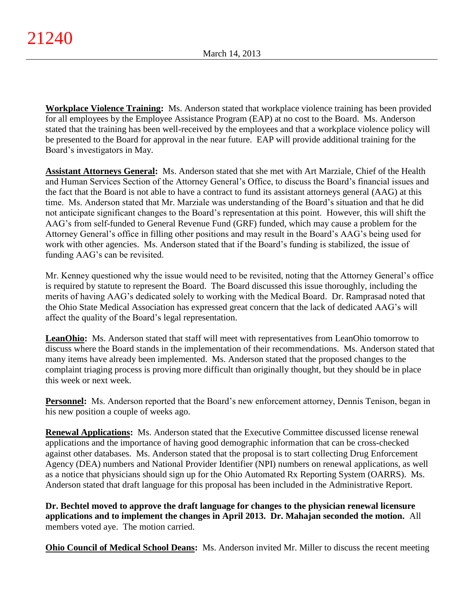**Workplace Violence Training:** Ms. Anderson stated that workplace violence training has been provided for all employees by the Employee Assistance Program (EAP) at no cost to the Board. Ms. Anderson stated that the training has been well-received by the employees and that a workplace violence policy will be presented to the Board for approval in the near future. EAP will provide additional training for the Board's investigators in May.

**Assistant Attorneys General:** Ms. Anderson stated that she met with Art Marziale, Chief of the Health and Human Services Section of the Attorney General's Office, to discuss the Board's financial issues and the fact that the Board is not able to have a contract to fund its assistant attorneys general (AAG) at this time. Ms. Anderson stated that Mr. Marziale was understanding of the Board's situation and that he did not anticipate significant changes to the Board's representation at this point. However, this will shift the AAG's from self-funded to General Revenue Fund (GRF) funded, which may cause a problem for the Attorney General's office in filling other positions and may result in the Board's AAG's being used for work with other agencies. Ms. Anderson stated that if the Board's funding is stabilized, the issue of funding AAG's can be revisited.

Mr. Kenney questioned why the issue would need to be revisited, noting that the Attorney General's office is required by statute to represent the Board. The Board discussed this issue thoroughly, including the merits of having AAG's dedicated solely to working with the Medical Board. Dr. Ramprasad noted that the Ohio State Medical Association has expressed great concern that the lack of dedicated AAG's will affect the quality of the Board's legal representation.

**LeanOhio:** Ms. Anderson stated that staff will meet with representatives from LeanOhio tomorrow to discuss where the Board stands in the implementation of their recommendations. Ms. Anderson stated that many items have already been implemented. Ms. Anderson stated that the proposed changes to the complaint triaging process is proving more difficult than originally thought, but they should be in place this week or next week.

**Personnel:** Ms. Anderson reported that the Board's new enforcement attorney, Dennis Tenison, began in his new position a couple of weeks ago.

**Renewal Applications:** Ms. Anderson stated that the Executive Committee discussed license renewal applications and the importance of having good demographic information that can be cross-checked against other databases. Ms. Anderson stated that the proposal is to start collecting Drug Enforcement Agency (DEA) numbers and National Provider Identifier (NPI) numbers on renewal applications, as well as a notice that physicians should sign up for the Ohio Automated Rx Reporting System (OARRS). Ms. Anderson stated that draft language for this proposal has been included in the Administrative Report.

**Dr. Bechtel moved to approve the draft language for changes to the physician renewal licensure applications and to implement the changes in April 2013. Dr. Mahajan seconded the motion.** All members voted aye. The motion carried.

**Ohio Council of Medical School Deans:** Ms. Anderson invited Mr. Miller to discuss the recent meeting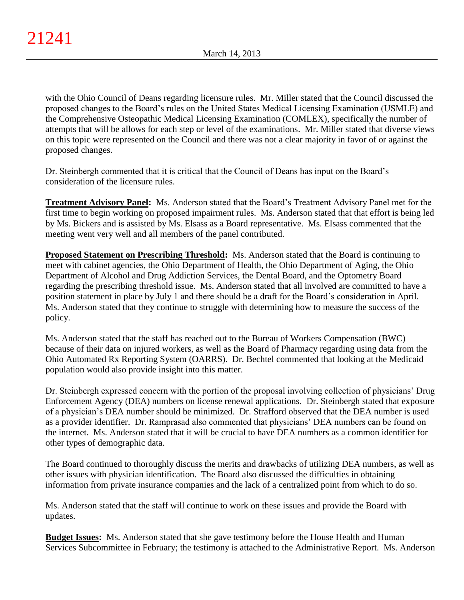with the Ohio Council of Deans regarding licensure rules. Mr. Miller stated that the Council discussed the proposed changes to the Board's rules on the United States Medical Licensing Examination (USMLE) and the Comprehensive Osteopathic Medical Licensing Examination (COMLEX), specifically the number of attempts that will be allows for each step or level of the examinations. Mr. Miller stated that diverse views on this topic were represented on the Council and there was not a clear majority in favor of or against the proposed changes.

Dr. Steinbergh commented that it is critical that the Council of Deans has input on the Board's consideration of the licensure rules.

**Treatment Advisory Panel:** Ms. Anderson stated that the Board's Treatment Advisory Panel met for the first time to begin working on proposed impairment rules. Ms. Anderson stated that that effort is being led by Ms. Bickers and is assisted by Ms. Elsass as a Board representative. Ms. Elsass commented that the meeting went very well and all members of the panel contributed.

**Proposed Statement on Prescribing Threshold:** Ms. Anderson stated that the Board is continuing to meet with cabinet agencies, the Ohio Department of Health, the Ohio Department of Aging, the Ohio Department of Alcohol and Drug Addiction Services, the Dental Board, and the Optometry Board regarding the prescribing threshold issue. Ms. Anderson stated that all involved are committed to have a position statement in place by July 1 and there should be a draft for the Board's consideration in April. Ms. Anderson stated that they continue to struggle with determining how to measure the success of the policy.

Ms. Anderson stated that the staff has reached out to the Bureau of Workers Compensation (BWC) because of their data on injured workers, as well as the Board of Pharmacy regarding using data from the Ohio Automated Rx Reporting System (OARRS). Dr. Bechtel commented that looking at the Medicaid population would also provide insight into this matter.

Dr. Steinbergh expressed concern with the portion of the proposal involving collection of physicians' Drug Enforcement Agency (DEA) numbers on license renewal applications. Dr. Steinbergh stated that exposure of a physician's DEA number should be minimized. Dr. Strafford observed that the DEA number is used as a provider identifier. Dr. Ramprasad also commented that physicians' DEA numbers can be found on the internet. Ms. Anderson stated that it will be crucial to have DEA numbers as a common identifier for other types of demographic data.

The Board continued to thoroughly discuss the merits and drawbacks of utilizing DEA numbers, as well as other issues with physician identification. The Board also discussed the difficulties in obtaining information from private insurance companies and the lack of a centralized point from which to do so.

Ms. Anderson stated that the staff will continue to work on these issues and provide the Board with updates.

**Budget Issues:** Ms. Anderson stated that she gave testimony before the House Health and Human Services Subcommittee in February; the testimony is attached to the Administrative Report. Ms. Anderson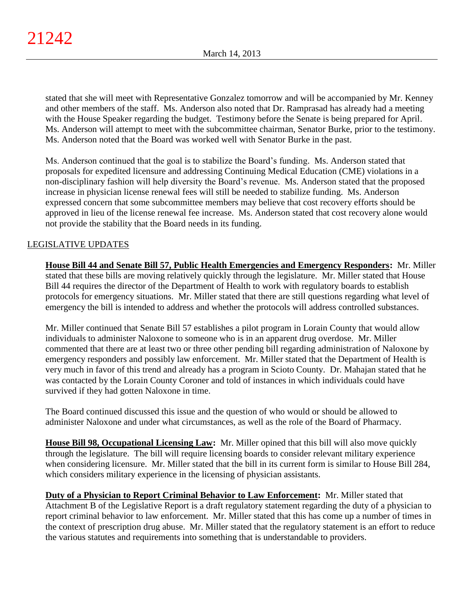stated that she will meet with Representative Gonzalez tomorrow and will be accompanied by Mr. Kenney and other members of the staff. Ms. Anderson also noted that Dr. Ramprasad has already had a meeting with the House Speaker regarding the budget. Testimony before the Senate is being prepared for April. Ms. Anderson will attempt to meet with the subcommittee chairman, Senator Burke, prior to the testimony. Ms. Anderson noted that the Board was worked well with Senator Burke in the past.

Ms. Anderson continued that the goal is to stabilize the Board's funding. Ms. Anderson stated that proposals for expedited licensure and addressing Continuing Medical Education (CME) violations in a non-disciplinary fashion will help diversity the Board's revenue. Ms. Anderson stated that the proposed increase in physician license renewal fees will still be needed to stabilize funding. Ms. Anderson expressed concern that some subcommittee members may believe that cost recovery efforts should be approved in lieu of the license renewal fee increase. Ms. Anderson stated that cost recovery alone would not provide the stability that the Board needs in its funding.

# LEGISLATIVE UPDATES

**House Bill 44 and Senate Bill 57, Public Health Emergencies and Emergency Responders:** Mr. Miller stated that these bills are moving relatively quickly through the legislature. Mr. Miller stated that House Bill 44 requires the director of the Department of Health to work with regulatory boards to establish protocols for emergency situations. Mr. Miller stated that there are still questions regarding what level of emergency the bill is intended to address and whether the protocols will address controlled substances.

Mr. Miller continued that Senate Bill 57 establishes a pilot program in Lorain County that would allow individuals to administer Naloxone to someone who is in an apparent drug overdose. Mr. Miller commented that there are at least two or three other pending bill regarding administration of Naloxone by emergency responders and possibly law enforcement. Mr. Miller stated that the Department of Health is very much in favor of this trend and already has a program in Scioto County. Dr. Mahajan stated that he was contacted by the Lorain County Coroner and told of instances in which individuals could have survived if they had gotten Naloxone in time.

The Board continued discussed this issue and the question of who would or should be allowed to administer Naloxone and under what circumstances, as well as the role of the Board of Pharmacy.

**House Bill 98, Occupational Licensing Law:** Mr. Miller opined that this bill will also move quickly through the legislature. The bill will require licensing boards to consider relevant military experience when considering licensure. Mr. Miller stated that the bill in its current form is similar to House Bill 284, which considers military experience in the licensing of physician assistants.

**Duty of a Physician to Report Criminal Behavior to Law Enforcement:** Mr. Miller stated that Attachment B of the Legislative Report is a draft regulatory statement regarding the duty of a physician to report criminal behavior to law enforcement. Mr. Miller stated that this has come up a number of times in the context of prescription drug abuse. Mr. Miller stated that the regulatory statement is an effort to reduce the various statutes and requirements into something that is understandable to providers.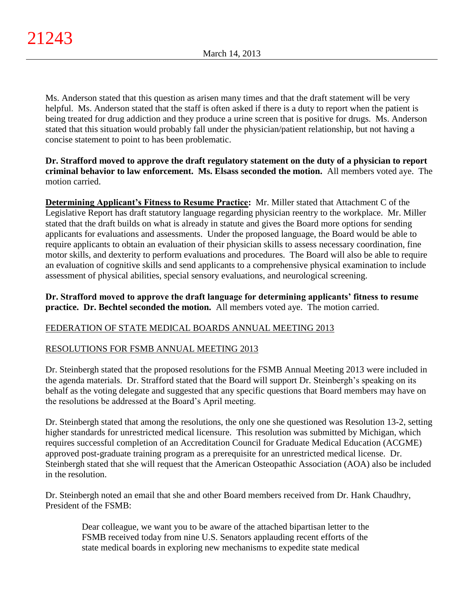Ms. Anderson stated that this question as arisen many times and that the draft statement will be very helpful. Ms. Anderson stated that the staff is often asked if there is a duty to report when the patient is being treated for drug addiction and they produce a urine screen that is positive for drugs. Ms. Anderson stated that this situation would probably fall under the physician/patient relationship, but not having a concise statement to point to has been problematic.

## **Dr. Strafford moved to approve the draft regulatory statement on the duty of a physician to report criminal behavior to law enforcement. Ms. Elsass seconded the motion.** All members voted aye. The motion carried.

**Determining Applicant's Fitness to Resume Practice:** Mr. Miller stated that Attachment C of the Legislative Report has draft statutory language regarding physician reentry to the workplace. Mr. Miller stated that the draft builds on what is already in statute and gives the Board more options for sending applicants for evaluations and assessments. Under the proposed language, the Board would be able to require applicants to obtain an evaluation of their physician skills to assess necessary coordination, fine motor skills, and dexterity to perform evaluations and procedures. The Board will also be able to require an evaluation of cognitive skills and send applicants to a comprehensive physical examination to include assessment of physical abilities, special sensory evaluations, and neurological screening.

**Dr. Strafford moved to approve the draft language for determining applicants' fitness to resume practice. Dr. Bechtel seconded the motion.** All members voted aye. The motion carried.

# FEDERATION OF STATE MEDICAL BOARDS ANNUAL MEETING 2013

# RESOLUTIONS FOR FSMB ANNUAL MEETING 2013

Dr. Steinbergh stated that the proposed resolutions for the FSMB Annual Meeting 2013 were included in the agenda materials. Dr. Strafford stated that the Board will support Dr. Steinbergh's speaking on its behalf as the voting delegate and suggested that any specific questions that Board members may have on the resolutions be addressed at the Board's April meeting.

Dr. Steinbergh stated that among the resolutions, the only one she questioned was Resolution 13-2, setting higher standards for unrestricted medical licensure. This resolution was submitted by Michigan, which requires successful completion of an Accreditation Council for Graduate Medical Education (ACGME) approved post-graduate training program as a prerequisite for an unrestricted medical license. Dr. Steinbergh stated that she will request that the American Osteopathic Association (AOA) also be included in the resolution.

Dr. Steinbergh noted an email that she and other Board members received from Dr. Hank Chaudhry, President of the FSMB:

Dear colleague, we want you to be aware of the attached bipartisan letter to the FSMB received today from nine U.S. Senators applauding recent efforts of the state medical boards in exploring new mechanisms to expedite state medical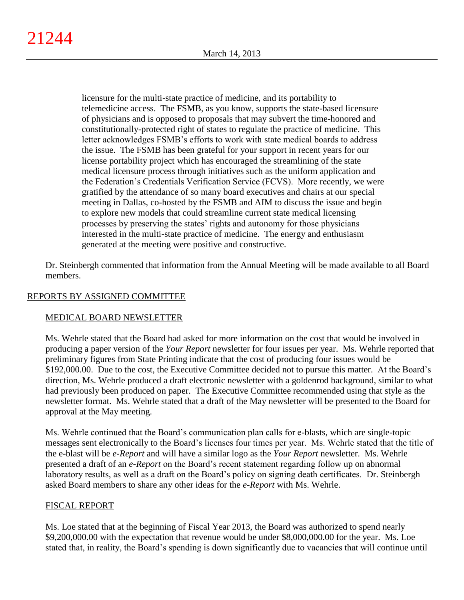licensure for the multi-state practice of medicine, and its portability to telemedicine access. The FSMB, as you know, supports the state-based licensure of physicians and is opposed to proposals that may subvert the time-honored and constitutionally-protected right of states to regulate the practice of medicine. This letter acknowledges FSMB's efforts to work with state medical boards to address the issue. The FSMB has been grateful for your support in recent years for our license portability project which has encouraged the streamlining of the state medical licensure process through initiatives such as the uniform application and the Federation's Credentials Verification Service (FCVS). More recently, we were gratified by the attendance of so many board executives and chairs at our special meeting in Dallas, co-hosted by the FSMB and AIM to discuss the issue and begin to explore new models that could streamline current state medical licensing processes by preserving the states' rights and autonomy for those physicians interested in the multi-state practice of medicine. The energy and enthusiasm generated at the meeting were positive and constructive.

Dr. Steinbergh commented that information from the Annual Meeting will be made available to all Board members.

# REPORTS BY ASSIGNED COMMITTEE

# MEDICAL BOARD NEWSLETTER

Ms. Wehrle stated that the Board had asked for more information on the cost that would be involved in producing a paper version of the *Your Report* newsletter for four issues per year. Ms. Wehrle reported that preliminary figures from State Printing indicate that the cost of producing four issues would be \$192,000.00. Due to the cost, the Executive Committee decided not to pursue this matter. At the Board's direction, Ms. Wehrle produced a draft electronic newsletter with a goldenrod background, similar to what had previously been produced on paper. The Executive Committee recommended using that style as the newsletter format. Ms. Wehrle stated that a draft of the May newsletter will be presented to the Board for approval at the May meeting.

Ms. Wehrle continued that the Board's communication plan calls for e-blasts, which are single-topic messages sent electronically to the Board's licenses four times per year. Ms. Wehrle stated that the title of the e-blast will be *e-Report* and will have a similar logo as the *Your Report* newsletter. Ms. Wehrle presented a draft of an *e-Report* on the Board's recent statement regarding follow up on abnormal laboratory results, as well as a draft on the Board's policy on signing death certificates. Dr. Steinbergh asked Board members to share any other ideas for the *e-Report* with Ms. Wehrle.

# FISCAL REPORT

Ms. Loe stated that at the beginning of Fiscal Year 2013, the Board was authorized to spend nearly \$9,200,000.00 with the expectation that revenue would be under \$8,000,000.00 for the year. Ms. Loe stated that, in reality, the Board's spending is down significantly due to vacancies that will continue until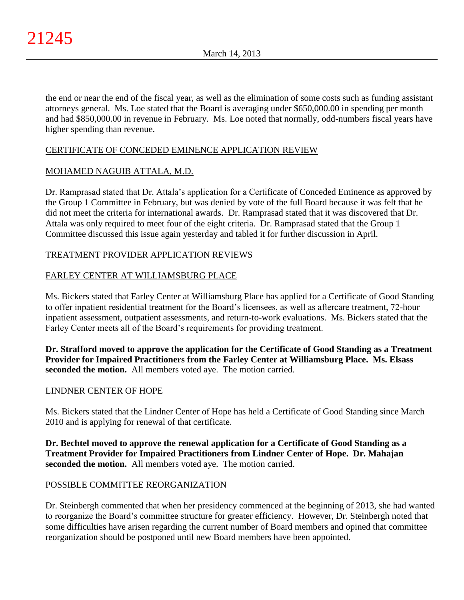the end or near the end of the fiscal year, as well as the elimination of some costs such as funding assistant attorneys general. Ms. Loe stated that the Board is averaging under \$650,000.00 in spending per month and had \$850,000.00 in revenue in February. Ms. Loe noted that normally, odd-numbers fiscal years have higher spending than revenue.

# CERTIFICATE OF CONCEDED EMINENCE APPLICATION REVIEW

# MOHAMED NAGUIB ATTALA, M.D.

Dr. Ramprasad stated that Dr. Attala's application for a Certificate of Conceded Eminence as approved by the Group 1 Committee in February, but was denied by vote of the full Board because it was felt that he did not meet the criteria for international awards. Dr. Ramprasad stated that it was discovered that Dr. Attala was only required to meet four of the eight criteria. Dr. Ramprasad stated that the Group 1 Committee discussed this issue again yesterday and tabled it for further discussion in April.

# TREATMENT PROVIDER APPLICATION REVIEWS

# FARLEY CENTER AT WILLIAMSBURG PLACE

Ms. Bickers stated that Farley Center at Williamsburg Place has applied for a Certificate of Good Standing to offer inpatient residential treatment for the Board's licensees, as well as aftercare treatment, 72-hour inpatient assessment, outpatient assessments, and return-to-work evaluations. Ms. Bickers stated that the Farley Center meets all of the Board's requirements for providing treatment.

**Dr. Strafford moved to approve the application for the Certificate of Good Standing as a Treatment Provider for Impaired Practitioners from the Farley Center at Williamsburg Place. Ms. Elsass seconded the motion.** All members voted aye. The motion carried.

## LINDNER CENTER OF HOPE

Ms. Bickers stated that the Lindner Center of Hope has held a Certificate of Good Standing since March 2010 and is applying for renewal of that certificate.

**Dr. Bechtel moved to approve the renewal application for a Certificate of Good Standing as a Treatment Provider for Impaired Practitioners from Lindner Center of Hope. Dr. Mahajan seconded the motion.** All members voted aye. The motion carried.

## POSSIBLE COMMITTEE REORGANIZATION

Dr. Steinbergh commented that when her presidency commenced at the beginning of 2013, she had wanted to reorganize the Board's committee structure for greater efficiency. However, Dr. Steinbergh noted that some difficulties have arisen regarding the current number of Board members and opined that committee reorganization should be postponed until new Board members have been appointed.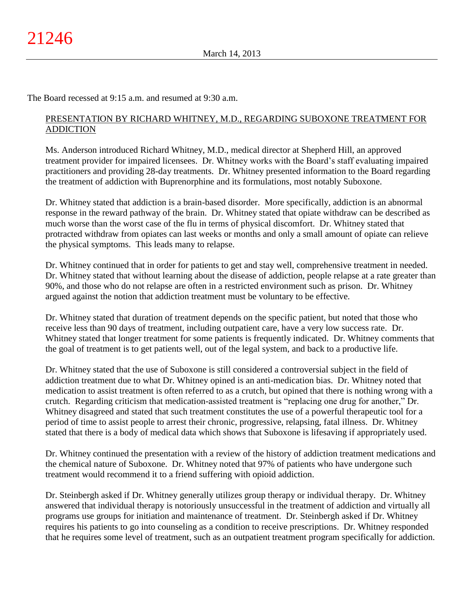The Board recessed at 9:15 a.m. and resumed at 9:30 a.m.

## PRESENTATION BY RICHARD WHITNEY, M.D., REGARDING SUBOXONE TREATMENT FOR ADDICTION

Ms. Anderson introduced Richard Whitney, M.D., medical director at Shepherd Hill, an approved treatment provider for impaired licensees. Dr. Whitney works with the Board's staff evaluating impaired practitioners and providing 28-day treatments. Dr. Whitney presented information to the Board regarding the treatment of addiction with Buprenorphine and its formulations, most notably Suboxone.

Dr. Whitney stated that addiction is a brain-based disorder. More specifically, addiction is an abnormal response in the reward pathway of the brain. Dr. Whitney stated that opiate withdraw can be described as much worse than the worst case of the flu in terms of physical discomfort. Dr. Whitney stated that protracted withdraw from opiates can last weeks or months and only a small amount of opiate can relieve the physical symptoms. This leads many to relapse.

Dr. Whitney continued that in order for patients to get and stay well, comprehensive treatment in needed. Dr. Whitney stated that without learning about the disease of addiction, people relapse at a rate greater than 90%, and those who do not relapse are often in a restricted environment such as prison. Dr. Whitney argued against the notion that addiction treatment must be voluntary to be effective.

Dr. Whitney stated that duration of treatment depends on the specific patient, but noted that those who receive less than 90 days of treatment, including outpatient care, have a very low success rate. Dr. Whitney stated that longer treatment for some patients is frequently indicated. Dr. Whitney comments that the goal of treatment is to get patients well, out of the legal system, and back to a productive life.

Dr. Whitney stated that the use of Suboxone is still considered a controversial subject in the field of addiction treatment due to what Dr. Whitney opined is an anti-medication bias. Dr. Whitney noted that medication to assist treatment is often referred to as a crutch, but opined that there is nothing wrong with a crutch. Regarding criticism that medication-assisted treatment is "replacing one drug for another," Dr. Whitney disagreed and stated that such treatment constitutes the use of a powerful therapeutic tool for a period of time to assist people to arrest their chronic, progressive, relapsing, fatal illness. Dr. Whitney stated that there is a body of medical data which shows that Suboxone is lifesaving if appropriately used.

Dr. Whitney continued the presentation with a review of the history of addiction treatment medications and the chemical nature of Suboxone. Dr. Whitney noted that 97% of patients who have undergone such treatment would recommend it to a friend suffering with opioid addiction.

Dr. Steinbergh asked if Dr. Whitney generally utilizes group therapy or individual therapy. Dr. Whitney answered that individual therapy is notoriously unsuccessful in the treatment of addiction and virtually all programs use groups for initiation and maintenance of treatment. Dr. Steinbergh asked if Dr. Whitney requires his patients to go into counseling as a condition to receive prescriptions. Dr. Whitney responded that he requires some level of treatment, such as an outpatient treatment program specifically for addiction.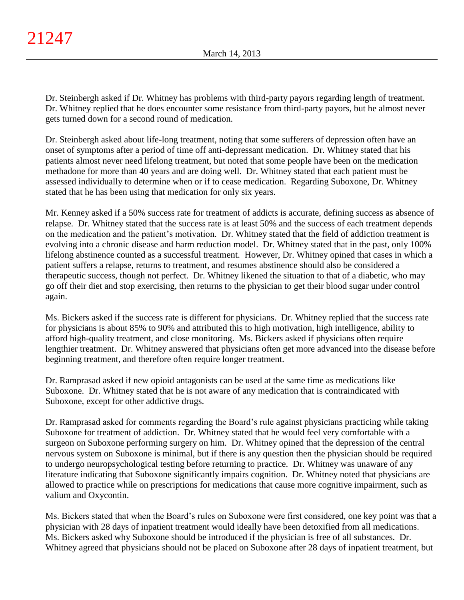Dr. Steinbergh asked if Dr. Whitney has problems with third-party payors regarding length of treatment. Dr. Whitney replied that he does encounter some resistance from third-party payors, but he almost never gets turned down for a second round of medication.

Dr. Steinbergh asked about life-long treatment, noting that some sufferers of depression often have an onset of symptoms after a period of time off anti-depressant medication. Dr. Whitney stated that his patients almost never need lifelong treatment, but noted that some people have been on the medication methadone for more than 40 years and are doing well. Dr. Whitney stated that each patient must be assessed individually to determine when or if to cease medication. Regarding Suboxone, Dr. Whitney stated that he has been using that medication for only six years.

Mr. Kenney asked if a 50% success rate for treatment of addicts is accurate, defining success as absence of relapse. Dr. Whitney stated that the success rate is at least 50% and the success of each treatment depends on the medication and the patient's motivation. Dr. Whitney stated that the field of addiction treatment is evolving into a chronic disease and harm reduction model. Dr. Whitney stated that in the past, only 100% lifelong abstinence counted as a successful treatment. However, Dr. Whitney opined that cases in which a patient suffers a relapse, returns to treatment, and resumes abstinence should also be considered a therapeutic success, though not perfect. Dr. Whitney likened the situation to that of a diabetic, who may go off their diet and stop exercising, then returns to the physician to get their blood sugar under control again.

Ms. Bickers asked if the success rate is different for physicians. Dr. Whitney replied that the success rate for physicians is about 85% to 90% and attributed this to high motivation, high intelligence, ability to afford high-quality treatment, and close monitoring. Ms. Bickers asked if physicians often require lengthier treatment. Dr. Whitney answered that physicians often get more advanced into the disease before beginning treatment, and therefore often require longer treatment.

Dr. Ramprasad asked if new opioid antagonists can be used at the same time as medications like Suboxone. Dr. Whitney stated that he is not aware of any medication that is contraindicated with Suboxone, except for other addictive drugs.

Dr. Ramprasad asked for comments regarding the Board's rule against physicians practicing while taking Suboxone for treatment of addiction. Dr. Whitney stated that he would feel very comfortable with a surgeon on Suboxone performing surgery on him. Dr. Whitney opined that the depression of the central nervous system on Suboxone is minimal, but if there is any question then the physician should be required to undergo neuropsychological testing before returning to practice. Dr. Whitney was unaware of any literature indicating that Suboxone significantly impairs cognition. Dr. Whitney noted that physicians are allowed to practice while on prescriptions for medications that cause more cognitive impairment, such as valium and Oxycontin.

Ms. Bickers stated that when the Board's rules on Suboxone were first considered, one key point was that a physician with 28 days of inpatient treatment would ideally have been detoxified from all medications. Ms. Bickers asked why Suboxone should be introduced if the physician is free of all substances. Dr. Whitney agreed that physicians should not be placed on Suboxone after 28 days of inpatient treatment, but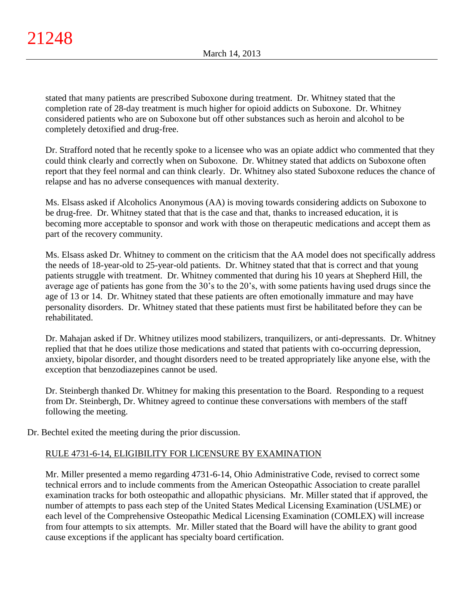stated that many patients are prescribed Suboxone during treatment. Dr. Whitney stated that the completion rate of 28-day treatment is much higher for opioid addicts on Suboxone. Dr. Whitney considered patients who are on Suboxone but off other substances such as heroin and alcohol to be completely detoxified and drug-free.

Dr. Strafford noted that he recently spoke to a licensee who was an opiate addict who commented that they could think clearly and correctly when on Suboxone. Dr. Whitney stated that addicts on Suboxone often report that they feel normal and can think clearly. Dr. Whitney also stated Suboxone reduces the chance of relapse and has no adverse consequences with manual dexterity.

Ms. Elsass asked if Alcoholics Anonymous (AA) is moving towards considering addicts on Suboxone to be drug-free. Dr. Whitney stated that that is the case and that, thanks to increased education, it is becoming more acceptable to sponsor and work with those on therapeutic medications and accept them as part of the recovery community.

Ms. Elsass asked Dr. Whitney to comment on the criticism that the AA model does not specifically address the needs of 18-year-old to 25-year-old patients. Dr. Whitney stated that that is correct and that young patients struggle with treatment. Dr. Whitney commented that during his 10 years at Shepherd Hill, the average age of patients has gone from the 30's to the 20's, with some patients having used drugs since the age of 13 or 14. Dr. Whitney stated that these patients are often emotionally immature and may have personality disorders. Dr. Whitney stated that these patients must first be habilitated before they can be rehabilitated.

Dr. Mahajan asked if Dr. Whitney utilizes mood stabilizers, tranquilizers, or anti-depressants. Dr. Whitney replied that that he does utilize those medications and stated that patients with co-occurring depression, anxiety, bipolar disorder, and thought disorders need to be treated appropriately like anyone else, with the exception that benzodiazepines cannot be used.

Dr. Steinbergh thanked Dr. Whitney for making this presentation to the Board. Responding to a request from Dr. Steinbergh, Dr. Whitney agreed to continue these conversations with members of the staff following the meeting.

Dr. Bechtel exited the meeting during the prior discussion.

# RULE 4731-6-14, ELIGIBILITY FOR LICENSURE BY EXAMINATION

Mr. Miller presented a memo regarding 4731-6-14, Ohio Administrative Code, revised to correct some technical errors and to include comments from the American Osteopathic Association to create parallel examination tracks for both osteopathic and allopathic physicians. Mr. Miller stated that if approved, the number of attempts to pass each step of the United States Medical Licensing Examination (USLME) or each level of the Comprehensive Osteopathic Medical Licensing Examination (COMLEX) will increase from four attempts to six attempts. Mr. Miller stated that the Board will have the ability to grant good cause exceptions if the applicant has specialty board certification.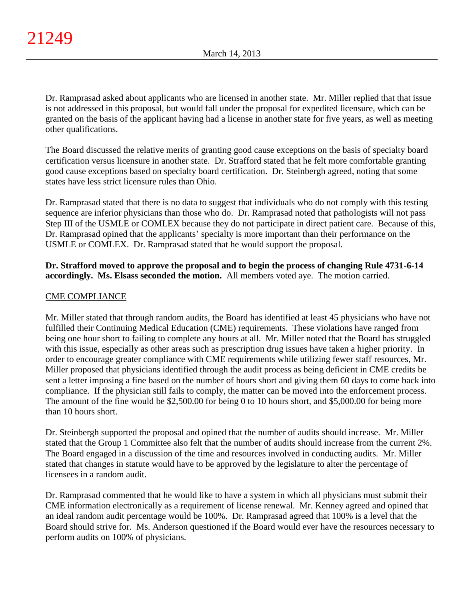Dr. Ramprasad asked about applicants who are licensed in another state. Mr. Miller replied that that issue is not addressed in this proposal, but would fall under the proposal for expedited licensure, which can be granted on the basis of the applicant having had a license in another state for five years, as well as meeting other qualifications.

The Board discussed the relative merits of granting good cause exceptions on the basis of specialty board certification versus licensure in another state. Dr. Strafford stated that he felt more comfortable granting good cause exceptions based on specialty board certification. Dr. Steinbergh agreed, noting that some states have less strict licensure rules than Ohio.

Dr. Ramprasad stated that there is no data to suggest that individuals who do not comply with this testing sequence are inferior physicians than those who do. Dr. Ramprasad noted that pathologists will not pass Step III of the USMLE or COMLEX because they do not participate in direct patient care. Because of this, Dr. Ramprasad opined that the applicants' specialty is more important than their performance on the USMLE or COMLEX. Dr. Ramprasad stated that he would support the proposal.

**Dr. Strafford moved to approve the proposal and to begin the process of changing Rule 4731-6-14 accordingly. Ms. Elsass seconded the motion.** All members voted aye. The motion carried.

# CME COMPLIANCE

Mr. Miller stated that through random audits, the Board has identified at least 45 physicians who have not fulfilled their Continuing Medical Education (CME) requirements. These violations have ranged from being one hour short to failing to complete any hours at all. Mr. Miller noted that the Board has struggled with this issue, especially as other areas such as prescription drug issues have taken a higher priority. In order to encourage greater compliance with CME requirements while utilizing fewer staff resources, Mr. Miller proposed that physicians identified through the audit process as being deficient in CME credits be sent a letter imposing a fine based on the number of hours short and giving them 60 days to come back into compliance. If the physician still fails to comply, the matter can be moved into the enforcement process. The amount of the fine would be \$2,500.00 for being 0 to 10 hours short, and \$5,000.00 for being more than 10 hours short.

Dr. Steinbergh supported the proposal and opined that the number of audits should increase. Mr. Miller stated that the Group 1 Committee also felt that the number of audits should increase from the current 2%. The Board engaged in a discussion of the time and resources involved in conducting audits. Mr. Miller stated that changes in statute would have to be approved by the legislature to alter the percentage of licensees in a random audit.

Dr. Ramprasad commented that he would like to have a system in which all physicians must submit their CME information electronically as a requirement of license renewal. Mr. Kenney agreed and opined that an ideal random audit percentage would be 100%. Dr. Ramprasad agreed that 100% is a level that the Board should strive for. Ms. Anderson questioned if the Board would ever have the resources necessary to perform audits on 100% of physicians.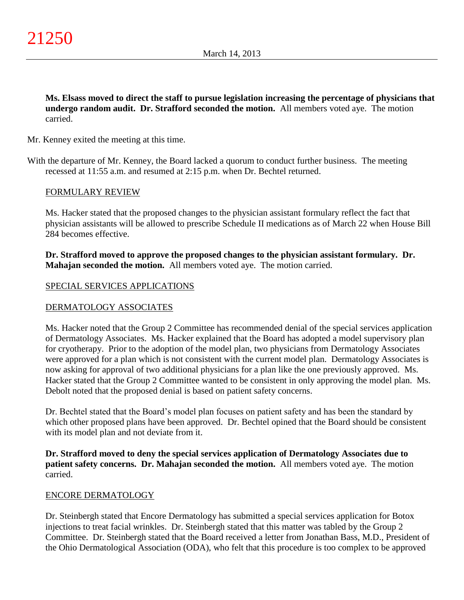**Ms. Elsass moved to direct the staff to pursue legislation increasing the percentage of physicians that undergo random audit. Dr. Strafford seconded the motion.** All members voted aye. The motion carried.

Mr. Kenney exited the meeting at this time.

With the departure of Mr. Kenney, the Board lacked a quorum to conduct further business. The meeting recessed at 11:55 a.m. and resumed at 2:15 p.m. when Dr. Bechtel returned.

## FORMULARY REVIEW

Ms. Hacker stated that the proposed changes to the physician assistant formulary reflect the fact that physician assistants will be allowed to prescribe Schedule II medications as of March 22 when House Bill 284 becomes effective.

**Dr. Strafford moved to approve the proposed changes to the physician assistant formulary. Dr. Mahajan seconded the motion.** All members voted aye. The motion carried.

## SPECIAL SERVICES APPLICATIONS

## DERMATOLOGY ASSOCIATES

Ms. Hacker noted that the Group 2 Committee has recommended denial of the special services application of Dermatology Associates. Ms. Hacker explained that the Board has adopted a model supervisory plan for cryotherapy. Prior to the adoption of the model plan, two physicians from Dermatology Associates were approved for a plan which is not consistent with the current model plan. Dermatology Associates is now asking for approval of two additional physicians for a plan like the one previously approved. Ms. Hacker stated that the Group 2 Committee wanted to be consistent in only approving the model plan. Ms. Debolt noted that the proposed denial is based on patient safety concerns.

Dr. Bechtel stated that the Board's model plan focuses on patient safety and has been the standard by which other proposed plans have been approved. Dr. Bechtel opined that the Board should be consistent with its model plan and not deviate from it.

**Dr. Strafford moved to deny the special services application of Dermatology Associates due to patient safety concerns. Dr. Mahajan seconded the motion.** All members voted aye. The motion carried.

## ENCORE DERMATOLOGY

Dr. Steinbergh stated that Encore Dermatology has submitted a special services application for Botox injections to treat facial wrinkles. Dr. Steinbergh stated that this matter was tabled by the Group 2 Committee. Dr. Steinbergh stated that the Board received a letter from Jonathan Bass, M.D., President of the Ohio Dermatological Association (ODA), who felt that this procedure is too complex to be approved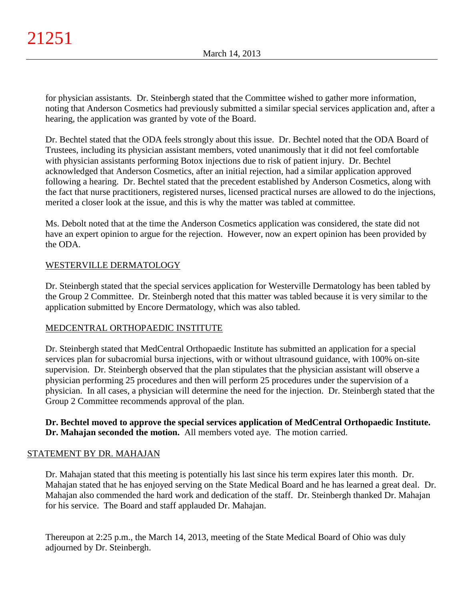for physician assistants. Dr. Steinbergh stated that the Committee wished to gather more information, noting that Anderson Cosmetics had previously submitted a similar special services application and, after a hearing, the application was granted by vote of the Board.

Dr. Bechtel stated that the ODA feels strongly about this issue. Dr. Bechtel noted that the ODA Board of Trustees, including its physician assistant members, voted unanimously that it did not feel comfortable with physician assistants performing Botox injections due to risk of patient injury. Dr. Bechtel acknowledged that Anderson Cosmetics, after an initial rejection, had a similar application approved following a hearing. Dr. Bechtel stated that the precedent established by Anderson Cosmetics, along with the fact that nurse practitioners, registered nurses, licensed practical nurses are allowed to do the injections, merited a closer look at the issue, and this is why the matter was tabled at committee.

Ms. Debolt noted that at the time the Anderson Cosmetics application was considered, the state did not have an expert opinion to argue for the rejection. However, now an expert opinion has been provided by the ODA.

# WESTERVILLE DERMATOLOGY

Dr. Steinbergh stated that the special services application for Westerville Dermatology has been tabled by the Group 2 Committee. Dr. Steinbergh noted that this matter was tabled because it is very similar to the application submitted by Encore Dermatology, which was also tabled.

# MEDCENTRAL ORTHOPAEDIC INSTITUTE

Dr. Steinbergh stated that MedCentral Orthopaedic Institute has submitted an application for a special services plan for subacromial bursa injections, with or without ultrasound guidance, with 100% on-site supervision. Dr. Steinbergh observed that the plan stipulates that the physician assistant will observe a physician performing 25 procedures and then will perform 25 procedures under the supervision of a physician. In all cases, a physician will determine the need for the injection. Dr. Steinbergh stated that the Group 2 Committee recommends approval of the plan.

**Dr. Bechtel moved to approve the special services application of MedCentral Orthopaedic Institute. Dr. Mahajan seconded the motion.** All members voted aye. The motion carried.

# STATEMENT BY DR. MAHAJAN

Dr. Mahajan stated that this meeting is potentially his last since his term expires later this month. Dr. Mahajan stated that he has enjoyed serving on the State Medical Board and he has learned a great deal. Dr. Mahajan also commended the hard work and dedication of the staff. Dr. Steinbergh thanked Dr. Mahajan for his service. The Board and staff applauded Dr. Mahajan.

Thereupon at 2:25 p.m., the March 14, 2013, meeting of the State Medical Board of Ohio was duly adjourned by Dr. Steinbergh.